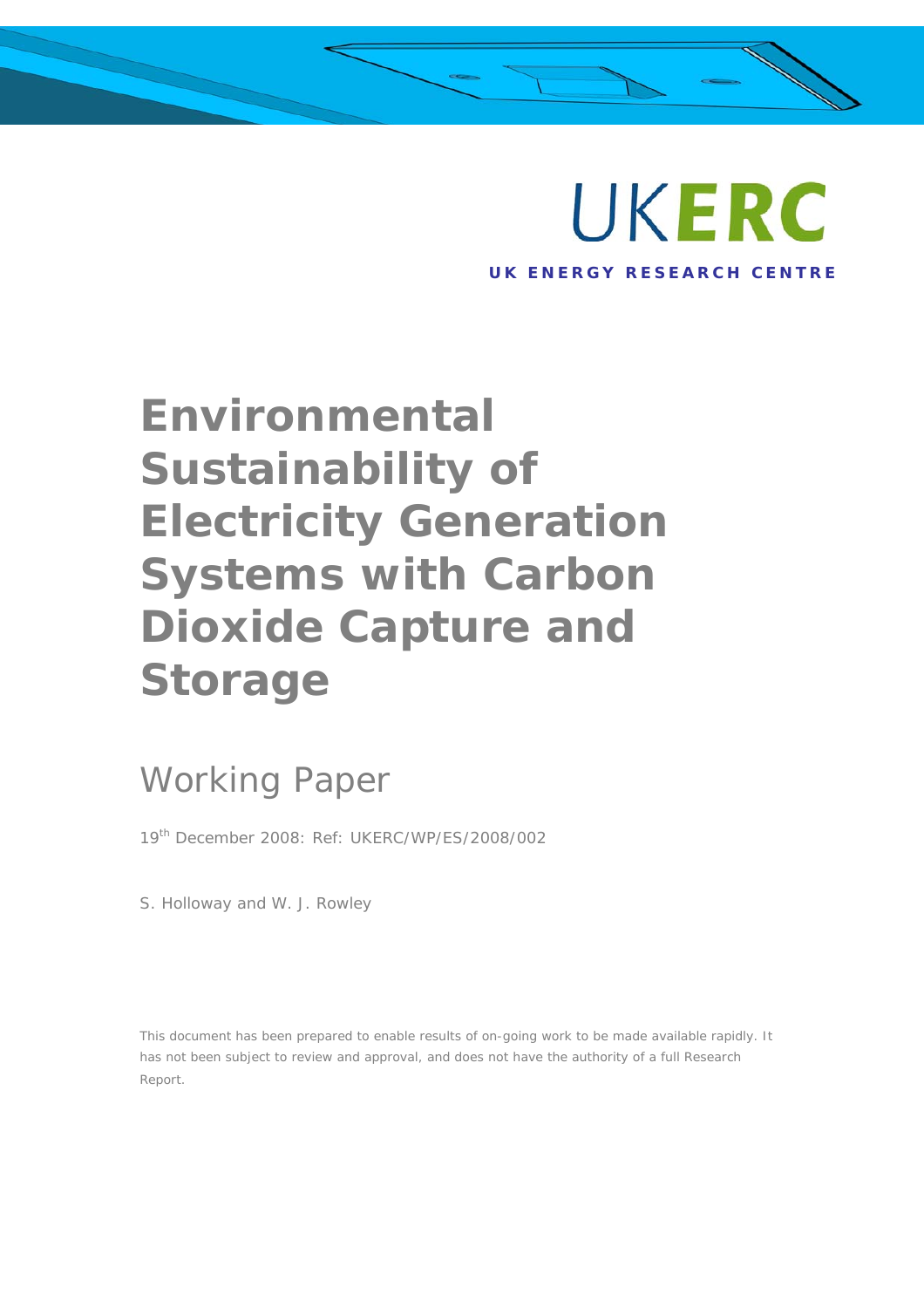

 $\lambda$ 

# **Environmental Sustainability of Electricity Generation Systems with Carbon Dioxide Capture and Storage**

## Working Paper

19th December 2008: Ref: UKERC/WP/ES/2008/002

S. Holloway and W. J. Rowley

This document has been prepared to enable results of on-going work to be made available rapidly. It has not been subject to review and approval, and does not have the authority of a full Research Report.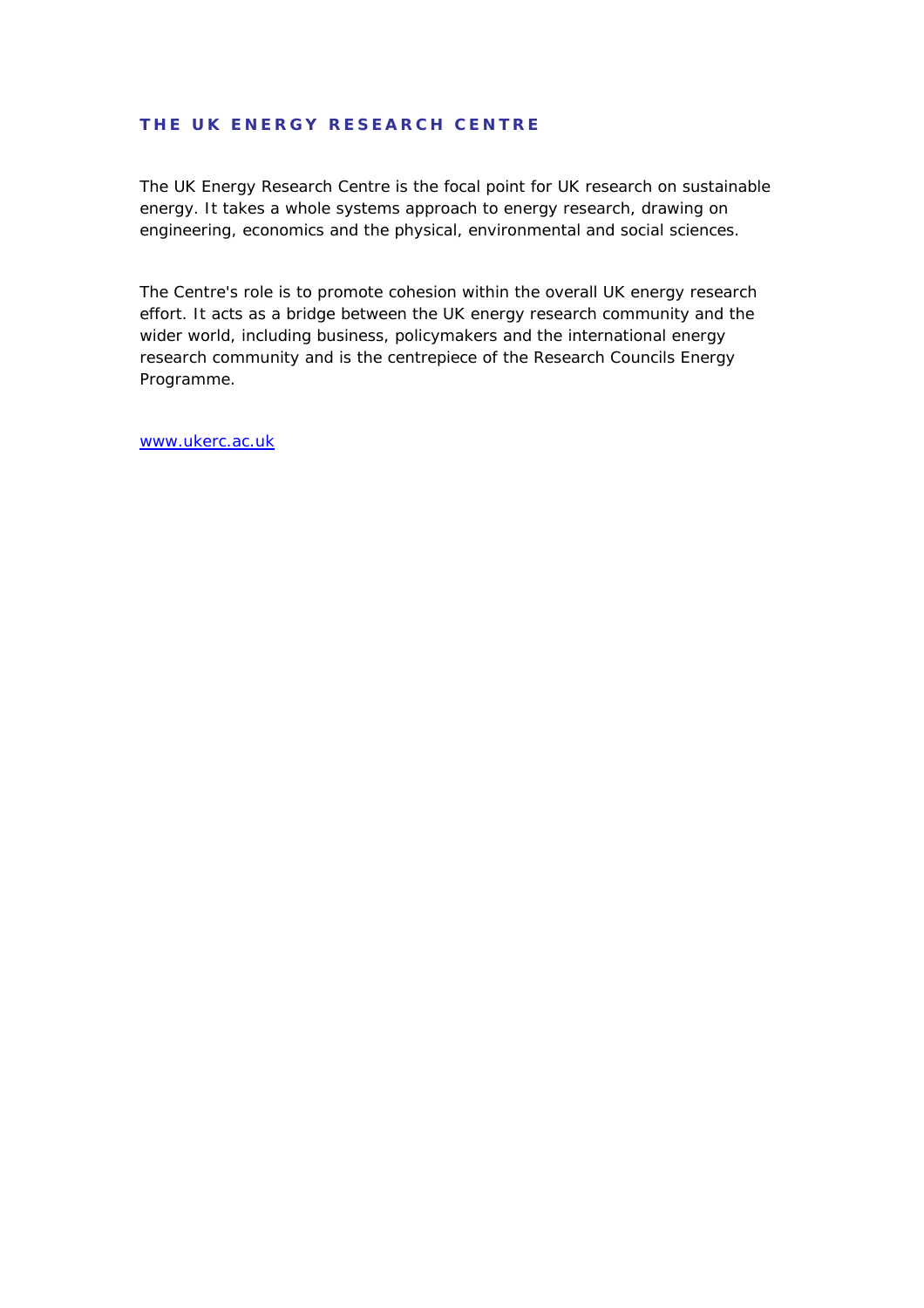#### **THE UK ENERGY RESEARCH CENTRE**

The UK Energy Research Centre is the focal point for UK research on sustainable energy. It takes a whole systems approach to energy research, drawing on engineering, economics and the physical, environmental and social sciences.

The Centre's role is to promote cohesion within the overall UK energy research effort. It acts as a bridge between the UK energy research community and the wider world, including business, policymakers and the international energy research community and is the centrepiece of the Research Councils Energy Programme.

[www.ukerc.ac.uk](http://www.ukerc.ac.uk/)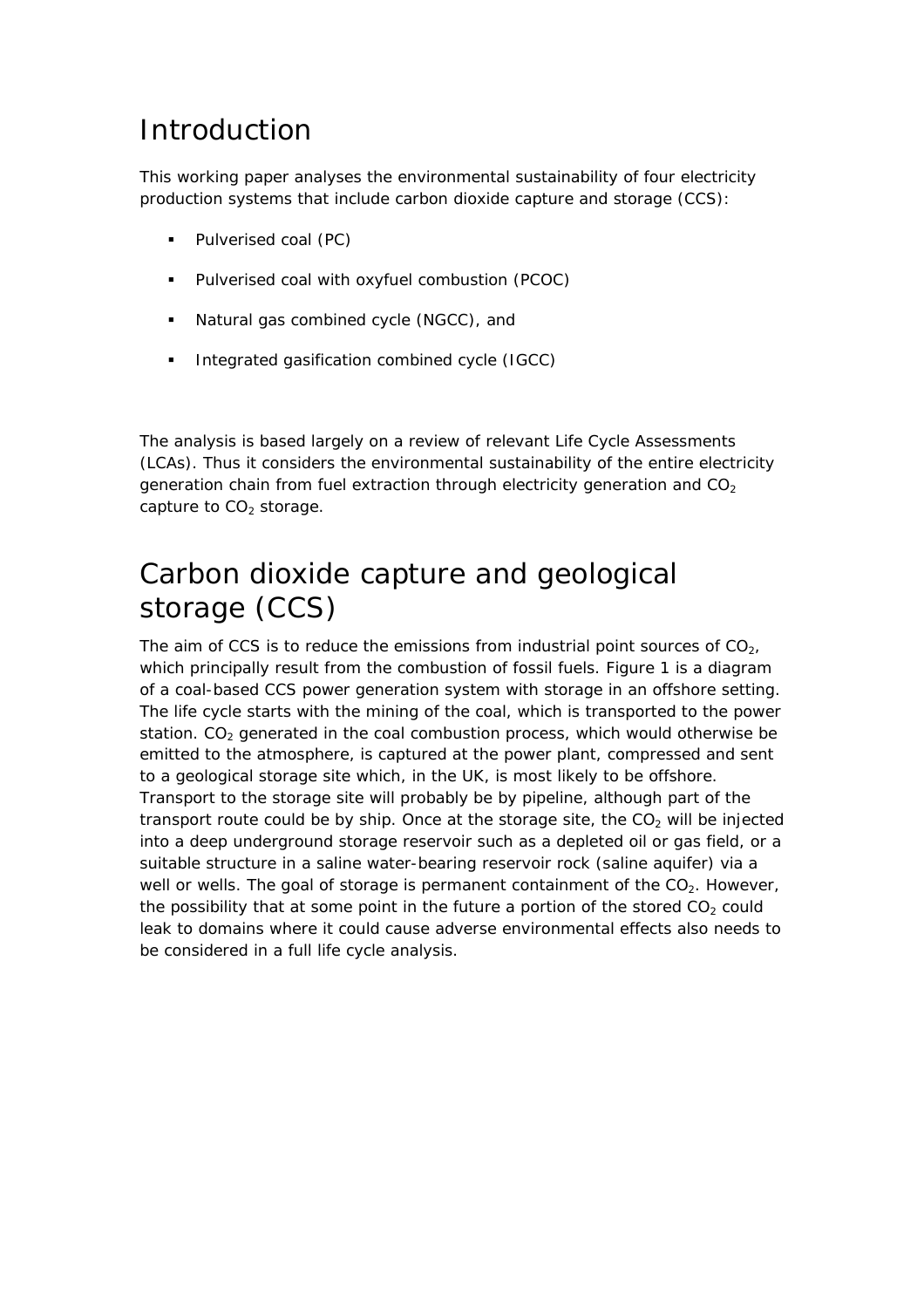### Introduction

This working paper analyses the environmental sustainability of four electricity production systems that include carbon dioxide capture and storage (CCS):

- Pulverised coal (PC)
- Pulverised coal with oxyfuel combustion (PCOC)
- Natural gas combined cycle (NGCC), and
- Integrated gasification combined cycle (IGCC)

The analysis is based largely on a review of relevant Life Cycle Assessments (LCAs). Thus it considers the environmental sustainability of the entire electricity generation chain from fuel extraction through electricity generation and  $CO<sub>2</sub>$ capture to  $CO<sub>2</sub>$  storage.

### Carbon dioxide capture and geological storage (CCS)

The aim of CCS is to reduce the emissions from industrial point sources of  $CO<sub>2</sub>$ , which principally result from the combustion of fossil fuels. Figure 1 is a diagram of a coal-based CCS power generation system with storage in an offshore setting. The life cycle starts with the mining of the coal, which is transported to the power station.  $CO<sub>2</sub>$  generated in the coal combustion process, which would otherwise be emitted to the atmosphere, is captured at the power plant, compressed and sent to a geological storage site which, in the UK, is most likely to be offshore. Transport to the storage site will probably be by pipeline, although part of the transport route could be by ship. Once at the storage site, the  $CO<sub>2</sub>$  will be injected into a deep underground storage reservoir such as a depleted oil or gas field, or a suitable structure in a saline water-bearing reservoir rock (saline aquifer) via a well or wells. The goal of storage is permanent containment of the  $CO<sub>2</sub>$ . However, the possibility that at some point in the future a portion of the stored  $CO<sub>2</sub>$  could leak to domains where it could cause adverse environmental effects also needs to be considered in a full life cycle analysis.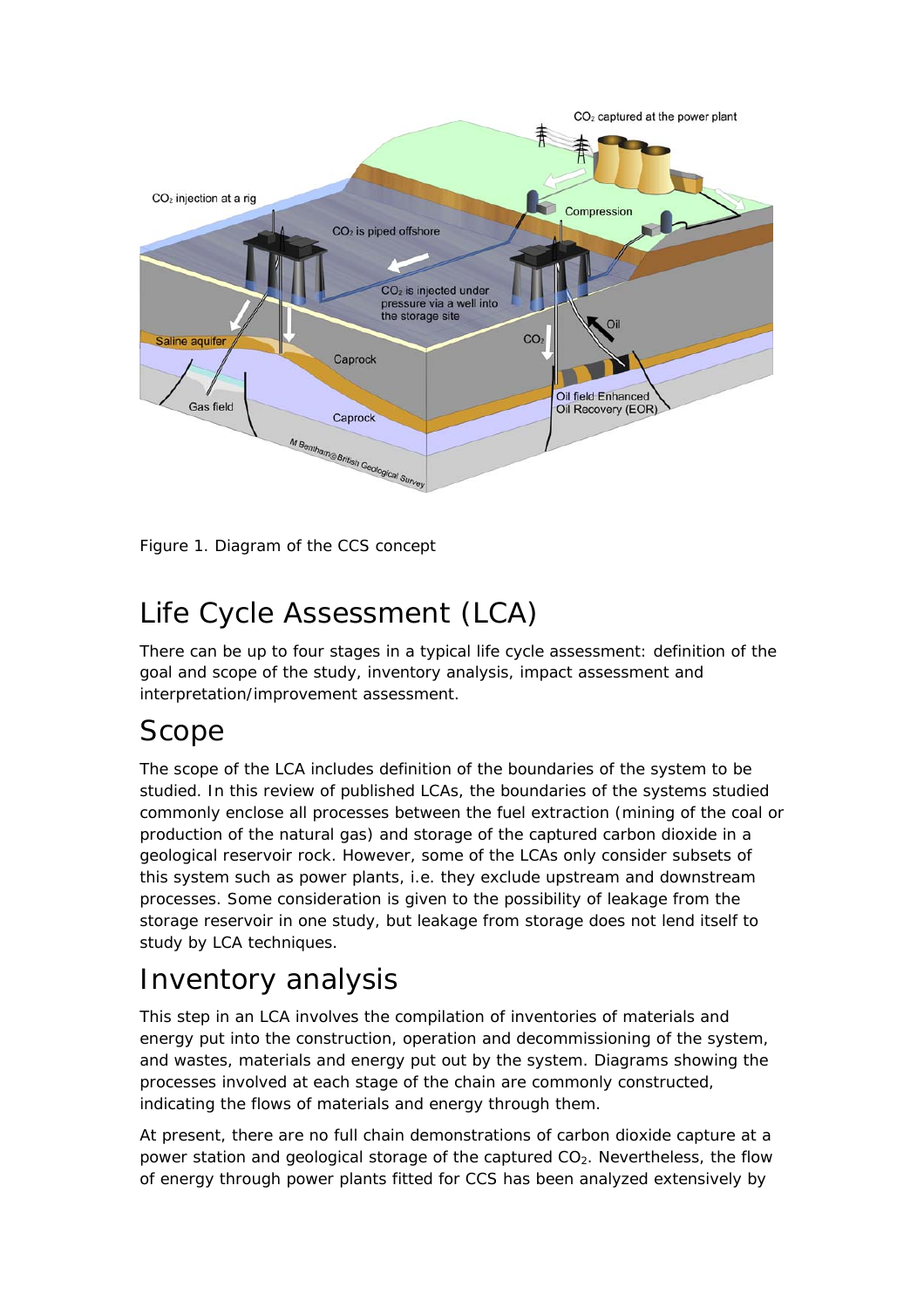

Figure 1. Diagram of the CCS concept

### Life Cycle Assessment (LCA)

There can be up to four stages in a typical life cycle assessment: definition of the goal and scope of the study, inventory analysis, impact assessment and interpretation/improvement assessment.

### Scope

The scope of the LCA includes definition of the boundaries of the system to be studied. In this review of published LCAs, the boundaries of the systems studied commonly enclose all processes between the fuel extraction (mining of the coal or production of the natural gas) and storage of the captured carbon dioxide in a geological reservoir rock. However, some of the LCAs only consider subsets of this system such as power plants, i.e. they exclude upstream and downstream processes. Some consideration is given to the possibility of leakage from the storage reservoir in one study, but leakage from storage does not lend itself to study by LCA techniques.

### Inventory analysis

This step in an LCA involves the compilation of inventories of materials and energy put into the construction, operation and decommissioning of the system, and wastes, materials and energy put out by the system. Diagrams showing the processes involved at each stage of the chain are commonly constructed, indicating the flows of materials and energy through them.

At present, there are no full chain demonstrations of carbon dioxide capture at a power station and geological storage of the captured  $CO<sub>2</sub>$ . Nevertheless, the flow of energy through power plants fitted for CCS has been analyzed extensively by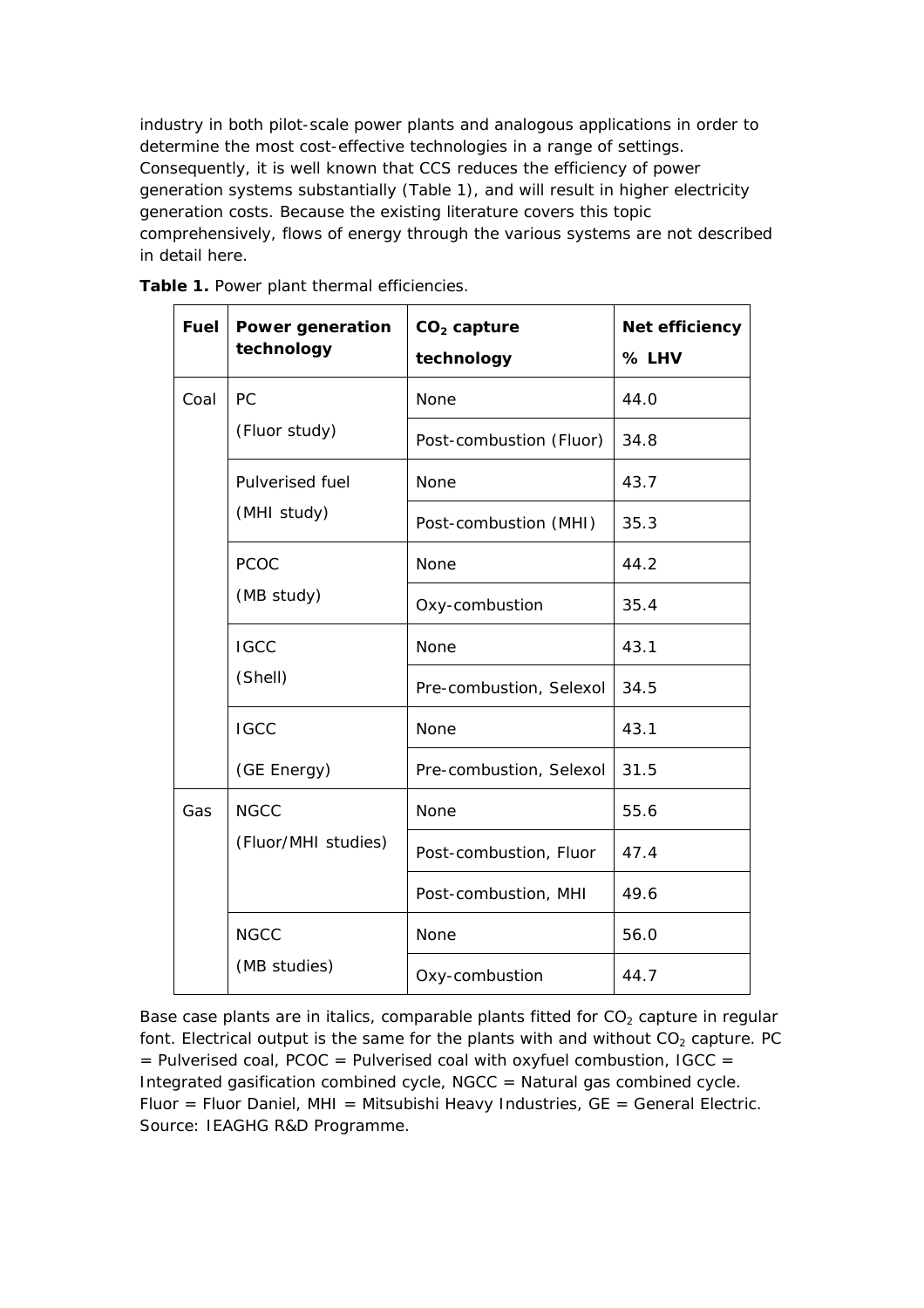industry in both pilot-scale power plants and analogous applications in order to determine the most cost-effective technologies in a range of settings. Consequently, it is well known that CCS reduces the efficiency of power generation systems substantially (Table 1), and will result in higher electricity generation costs. Because the existing literature covers this topic comprehensively, flows of energy through the various systems are not described in detail here.

| <b>Fuel</b> | <b>Power generation</b><br>technology | $CO2$ capture<br>technology | Net efficiency<br>% LHV |
|-------------|---------------------------------------|-----------------------------|-------------------------|
| Coal        | PC                                    | None                        | 44.0                    |
|             | (Fluor study)                         | Post-combustion (Fluor)     | 34.8                    |
|             | Pulverised fuel                       | None                        | 43.7                    |
|             | (MHI study)                           | Post-combustion (MHI)       | 35.3                    |
|             | <b>PCOC</b>                           | <b>None</b>                 | 44.2                    |
|             | (MB study)                            | Oxy-combustion              | 35.4                    |
|             | <b>IGCC</b>                           | None                        | 43.1                    |
|             | (Shell)                               | Pre-combustion, Selexol     | 34.5                    |
|             | <b>IGCC</b>                           | None                        | 43.1                    |
|             | (GE Energy)                           | Pre-combustion, Selexol     | 31.5                    |
| Gas         | <b>NGCC</b>                           | None                        | 55.6                    |
|             | (Fluor/MHI studies)                   | Post-combustion, Fluor      | 47.4                    |
|             |                                       | Post-combustion, MHI        | 49.6                    |
|             | <b>NGCC</b>                           | None                        | 56.0                    |
|             | (MB studies)                          | Oxy-combustion              | 44.7                    |

Table 1. Power plant thermal efficiencies.

Base case plants are in italics, comparable plants fitted for  $CO<sub>2</sub>$  capture in regular font. Electrical output is the same for the plants with and without  $CO<sub>2</sub>$  capture. PC  $=$  Pulverised coal, PCOC = Pulverised coal with oxyfuel combustion, IGCC = Integrated gasification combined cycle, NGCC = Natural gas combined cycle. Fluor = Fluor Daniel, MHI = Mitsubishi Heavy Industries,  $GE = General Electric$ . Source: IEAGHG R&D Programme.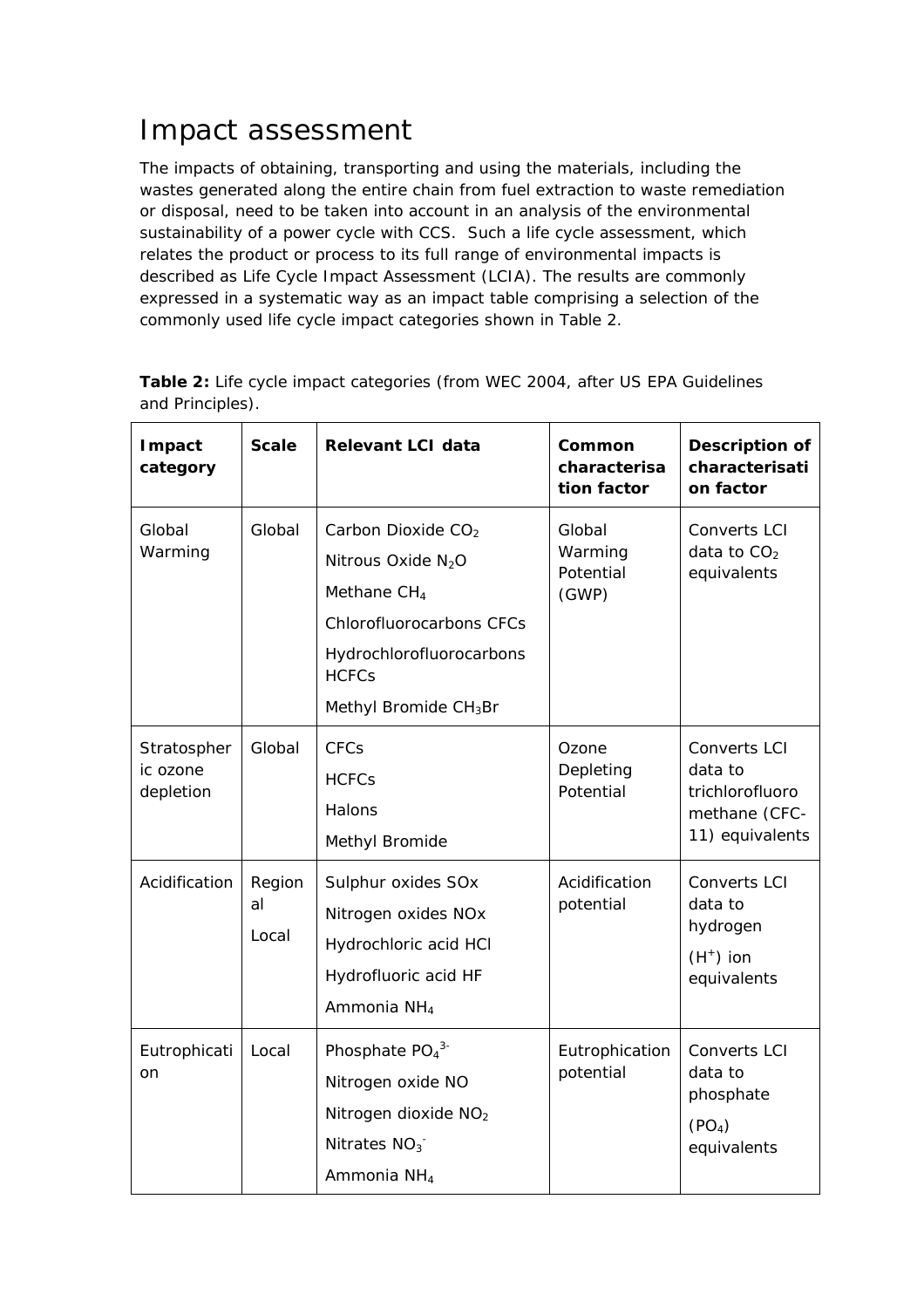### Impact assessment

The impacts of obtaining, transporting and using the materials, including the wastes generated along the entire chain from fuel extraction to waste remediation or disposal, need to be taken into account in an analysis of the environmental sustainability of a power cycle with CCS. Such a life cycle assessment, which relates the product or process to its full range of environmental impacts is described as Life Cycle Impact Assessment (LCIA). The results are commonly expressed in a systematic way as an impact table comprising a selection of the commonly used life cycle impact categories shown in Table 2.

| Impact<br>category                   | <b>Scale</b>          | <b>Relevant LCI data</b>                                                                                                                                                                             | Common<br>characterisa<br>tion factor   | Description of<br>characterisati<br>on factor                                    |
|--------------------------------------|-----------------------|------------------------------------------------------------------------------------------------------------------------------------------------------------------------------------------------------|-----------------------------------------|----------------------------------------------------------------------------------|
| Global<br>Warming                    | Global                | Carbon Dioxide CO <sub>2</sub><br>Nitrous Oxide N <sub>2</sub> O<br>Methane CH <sub>4</sub><br><b>Chlorofluorocarbons CFCs</b><br>Hydrochlorofluorocarbons<br><b>HCFCs</b><br>Methyl Bromide $CH3Br$ | Global<br>Warming<br>Potential<br>(GWP) | Converts LCI<br>data to $CO2$<br>equivalents                                     |
| Stratospher<br>ic ozone<br>depletion | Global                | <b>CFCs</b><br><b>HCFCs</b><br>Halons<br>Methyl Bromide                                                                                                                                              | Ozone<br>Depleting<br>Potential         | Converts LCI<br>data to<br>trichlorofluoro<br>methane (CFC-<br>11) equivalents   |
| Acidification                        | Region<br>al<br>Local | Sulphur oxides SOx<br>Nitrogen oxides NOx<br>Hydrochloric acid HCI<br>Hydrofluoric acid HF<br>Ammonia NH <sub>4</sub>                                                                                | Acidification<br>potential              | <b>Converts LCI</b><br>data to<br>hydrogen<br>$(H^+)$ ion<br>equivalents         |
| Eutrophicati<br>on                   | Local                 | Phosphate PO <sub>4</sub> <sup>3-</sup><br>Nitrogen oxide NO<br>Nitrogen dioxide NO <sub>2</sub><br>Nitrates $NO3$<br>Ammonia NH <sub>4</sub>                                                        | Eutrophication<br>potential             | <b>Converts LCI</b><br>data to<br>phosphate<br>(PO <sub>4</sub> )<br>equivalents |

**Table 2:** Life cycle impact categories (from WEC 2004, after US EPA Guidelines and Principles).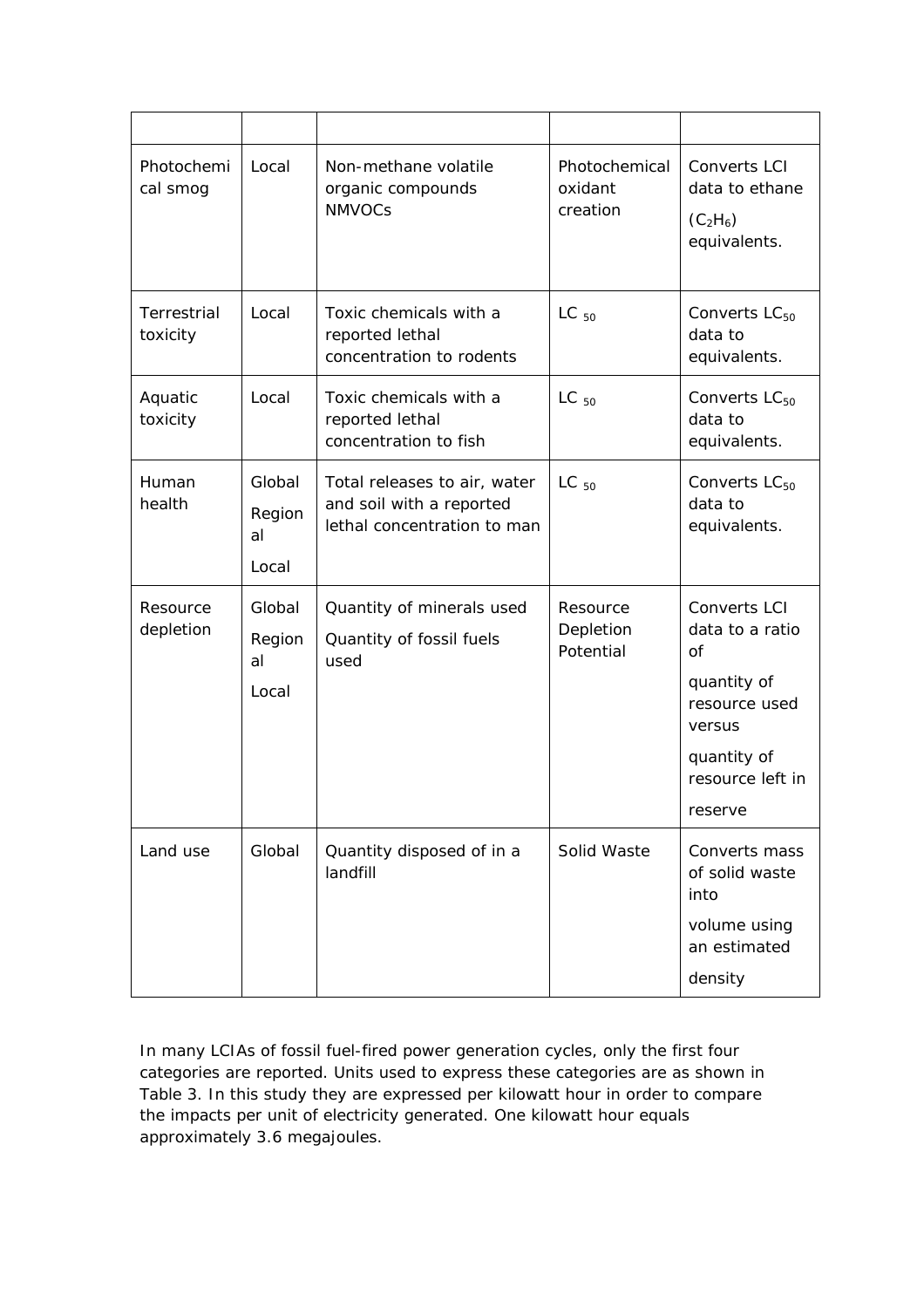| Photochemi<br>cal smog  | Local                           | Non-methane volatile<br>organic compounds<br><b>NMVOCs</b>                              | Photochemical<br>oxidant<br>creation | <b>Converts LCI</b><br>data to ethane<br>$(C_2H_6)$<br>equivalents.                                                                       |
|-------------------------|---------------------------------|-----------------------------------------------------------------------------------------|--------------------------------------|-------------------------------------------------------------------------------------------------------------------------------------------|
| Terrestrial<br>toxicity | Local                           | Toxic chemicals with a<br>reported lethal<br>concentration to rodents                   | $LC_{50}$                            | Converts $LC_{50}$<br>data to<br>equivalents.                                                                                             |
| Aquatic<br>toxicity     | Local                           | Toxic chemicals with a<br>reported lethal<br>concentration to fish                      | $LC_{50}$                            | Converts $LC_{50}$<br>data to<br>equivalents.                                                                                             |
| Human<br>health         | Global<br>Region<br>al<br>Local | Total releases to air, water<br>and soil with a reported<br>lethal concentration to man | $LC_{50}$                            | Converts $LC_{50}$<br>data to<br>equivalents.                                                                                             |
| Resource<br>depletion   | Global<br>Region<br>al<br>Local | Quantity of minerals used<br>Quantity of fossil fuels<br>used                           | Resource<br>Depletion<br>Potential   | Converts LCI<br>data to a ratio<br><sub>O</sub> f<br>quantity of<br>resource used<br>versus<br>quantity of<br>resource left in<br>reserve |
| Land use                | Global                          | Quantity disposed of in a<br>landfill                                                   | Solid Waste                          | Converts mass<br>of solid waste<br>into<br>volume using<br>an estimated<br>density                                                        |

In many LCIAs of fossil fuel-fired power generation cycles, only the first four categories are reported. Units used to express these categories are as shown in Table 3. In this study they are expressed per kilowatt hour in order to compare the impacts per unit of electricity generated. One kilowatt hour equals approximately 3.6 megajoules.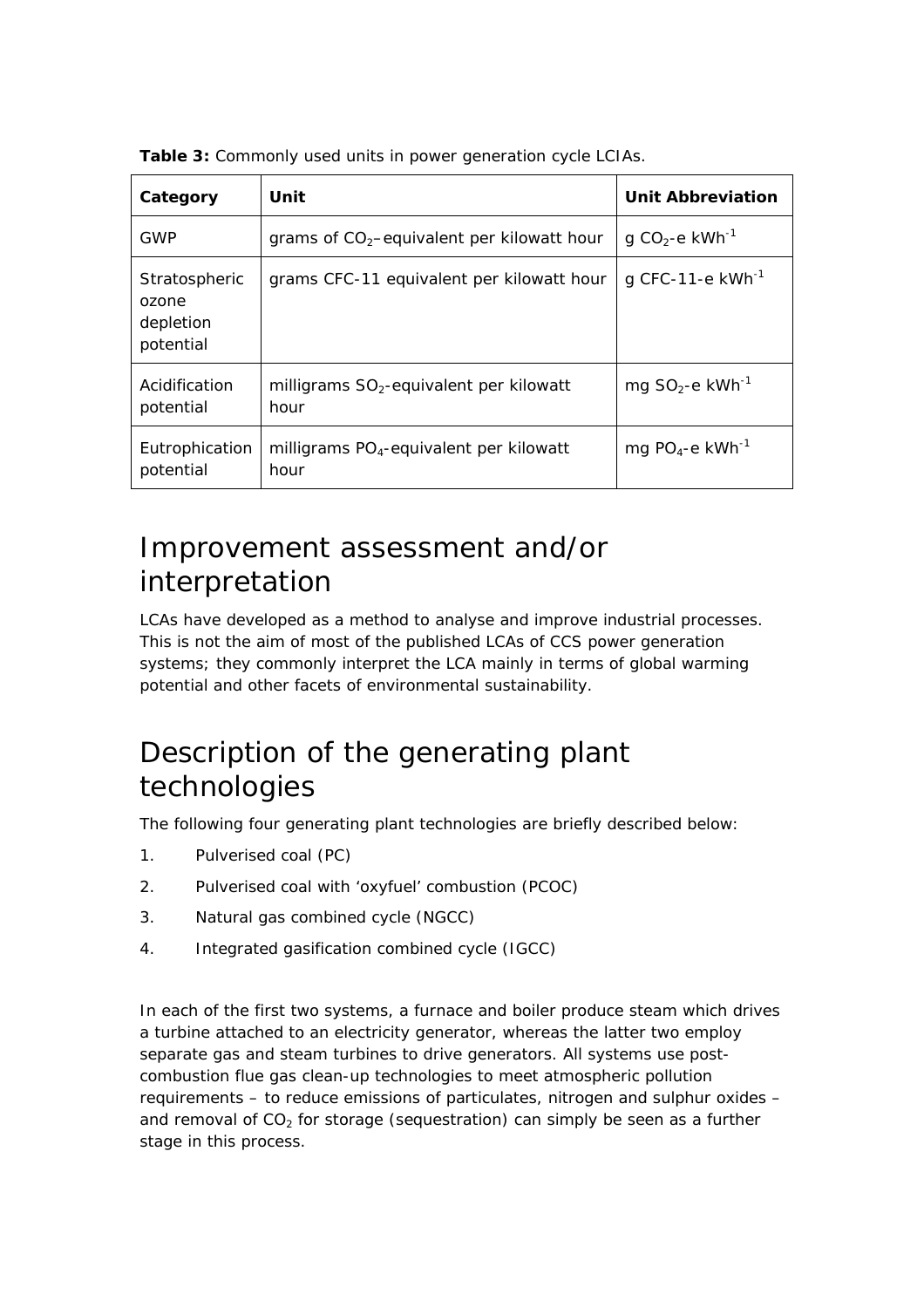| Category                                         | Unit                                                        | Unit Abbreviation                      |
|--------------------------------------------------|-------------------------------------------------------------|----------------------------------------|
| GWP                                              | grams of $CO2$ -equivalent per kilowatt hour                | g CO <sub>2</sub> -e kWh <sup>-1</sup> |
| Stratospheric<br>ozone<br>depletion<br>potential | grams CFC-11 equivalent per kilowatt hour                   | g CFC-11-e $kWh^{-1}$                  |
| Acidification<br>potential                       | milligrams $SO_2$ -equivalent per kilowatt<br>hour          | mg $SO_2$ -e kWh <sup>-1</sup>         |
| Eutrophication<br>potential                      | milligrams PO <sub>4</sub> -equivalent per kilowatt<br>hour | mg $PO_4$ -e kWh <sup>-1</sup>         |

**Table 3:** Commonly used units in power generation cycle LCIAs.

### Improvement assessment and/or interpretation

LCAs have developed as a method to analyse and improve industrial processes. This is not the aim of most of the published LCAs of CCS power generation systems; they commonly interpret the LCA mainly in terms of global warming potential and other facets of environmental sustainability.

### Description of the generating plant technologies

The following four generating plant technologies are briefly described below:

- 1. Pulverised coal (PC)
- 2. Pulverised coal with 'oxyfuel' combustion (PCOC)
- 3. Natural gas combined cycle (NGCC)
- 4. Integrated gasification combined cycle (IGCC)

In each of the first two systems, a furnace and boiler produce steam which drives a turbine attached to an electricity generator, whereas the latter two employ separate gas and steam turbines to drive generators. All systems use postcombustion flue gas clean-up technologies to meet atmospheric pollution requirements – to reduce emissions of particulates, nitrogen and sulphur oxides – and removal of  $CO<sub>2</sub>$  for storage (sequestration) can simply be seen as a further stage in this process.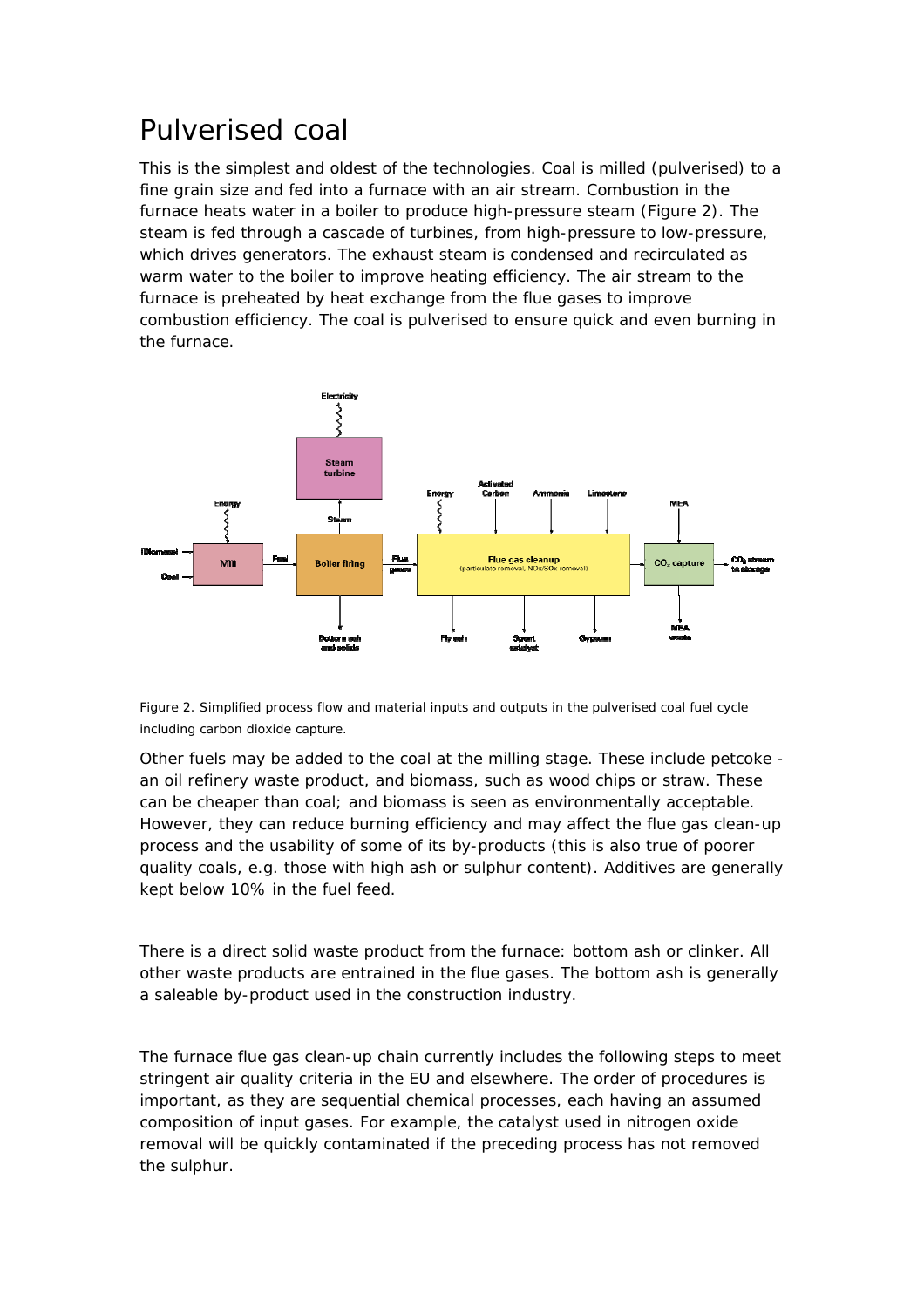### Pulverised coal

This is the simplest and oldest of the technologies. Coal is milled (pulverised) to a fine grain size and fed into a furnace with an air stream. Combustion in the furnace heats water in a boiler to produce high-pressure steam (Figure 2). The steam is fed through a cascade of turbines, from high-pressure to low-pressure, which drives generators. The exhaust steam is condensed and recirculated as warm water to the boiler to improve heating efficiency. The air stream to the furnace is preheated by heat exchange from the flue gases to improve combustion efficiency. The coal is pulverised to ensure quick and even burning in the furnace.



Figure 2. Simplified process flow and material inputs and outputs in the pulverised coal fuel cycle including carbon dioxide capture.

Other fuels may be added to the coal at the milling stage. These include petcoke an oil refinery waste product, and biomass, such as wood chips or straw. These can be cheaper than coal; and biomass is seen as environmentally acceptable. However, they can reduce burning efficiency and may affect the flue gas clean-up process and the usability of some of its by-products (this is also true of poorer quality coals, e.g. those with high ash or sulphur content). Additives are generally kept below 10% in the fuel feed.

There is a direct solid waste product from the furnace: bottom ash or clinker. All other waste products are entrained in the flue gases. The bottom ash is generally a saleable by-product used in the construction industry.

The furnace flue gas clean-up chain currently includes the following steps to meet stringent air quality criteria in the EU and elsewhere. The order of procedures is important, as they are sequential chemical processes, each having an assumed composition of input gases. For example, the catalyst used in nitrogen oxide removal will be quickly contaminated if the preceding process has not removed the sulphur.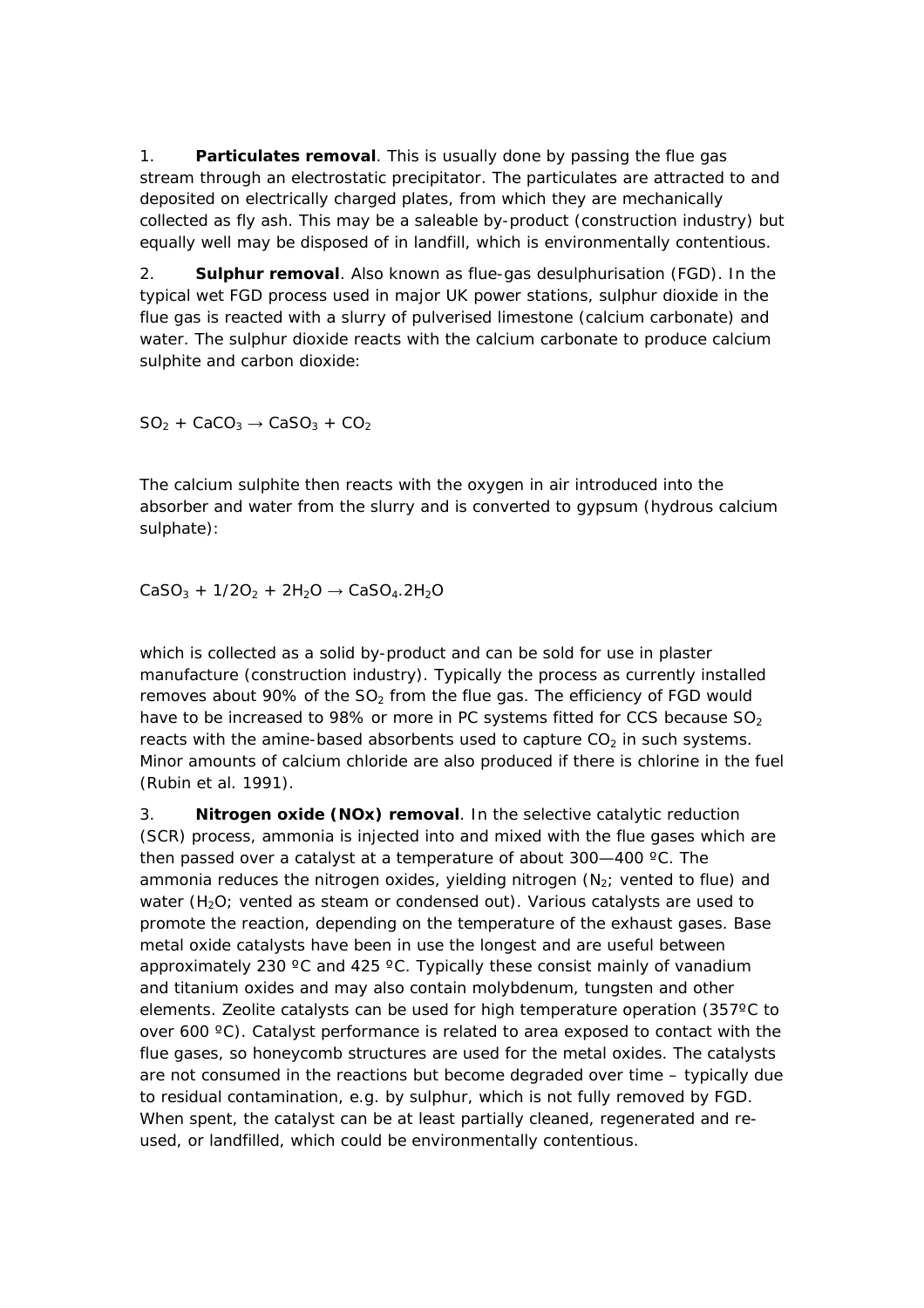1. **Particulates removal**. This is usually done by passing the flue gas stream through an electrostatic precipitator. The particulates are attracted to and deposited on electrically charged plates, from which they are mechanically collected as fly ash. This may be a saleable by-product (construction industry) but equally well may be disposed of in landfill, which is environmentally contentious.

2. **Sulphur removal**. Also known as flue-gas desulphurisation (FGD). In the typical wet FGD process used in major UK power stations, sulphur dioxide in the flue gas is reacted with a slurry of pulverised limestone (calcium carbonate) and water. The sulphur dioxide reacts with the calcium carbonate to produce calcium sulphite and carbon dioxide:

 $SO_2 + CaCO_3 \rightarrow CaSO_3 + CO_2$ 

The calcium sulphite then reacts with the oxygen in air introduced into the absorber and water from the slurry and is converted to gypsum (hydrous calcium sulphate):

 $CaSO_3 + 1/2O_2 + 2H_2O \rightarrow CaSO_4.2H_2O$ 

which is collected as a solid by-product and can be sold for use in plaster manufacture (construction industry). Typically the process as currently installed removes about 90% of the SO<sub>2</sub> from the flue gas. The efficiency of FGD would have to be increased to 98% or more in PC systems fitted for CCS because  $SO<sub>2</sub>$ reacts with the amine-based absorbents used to capture  $CO<sub>2</sub>$  in such systems. Minor amounts of calcium chloride are also produced if there is chlorine in the fuel (Rubin et al. 1991).

3. **Nitrogen oxide (NOx) removal**. In the selective catalytic reduction (SCR) process, ammonia is injected into and mixed with the flue gases which are then passed over a catalyst at a temperature of about 300—400 ºC. The ammonia reduces the nitrogen oxides, yielding nitrogen  $(N_2;$  vented to flue) and water  $(H<sub>2</sub>O$ ; vented as steam or condensed out). Various catalysts are used to promote the reaction, depending on the temperature of the exhaust gases. Base metal oxide catalysts have been in use the longest and are useful between approximately 230  $\degree$ C and 425  $\degree$ C. Typically these consist mainly of vanadium and titanium oxides and may also contain molybdenum, tungsten and other elements. Zeolite catalysts can be used for high temperature operation (357ºC to over 600 ºC). Catalyst performance is related to area exposed to contact with the flue gases, so honeycomb structures are used for the metal oxides. The catalysts are not consumed in the reactions but become degraded over time – typically due to residual contamination, e.g. by sulphur, which is not fully removed by FGD. When spent, the catalyst can be at least partially cleaned, regenerated and reused, or landfilled, which could be environmentally contentious.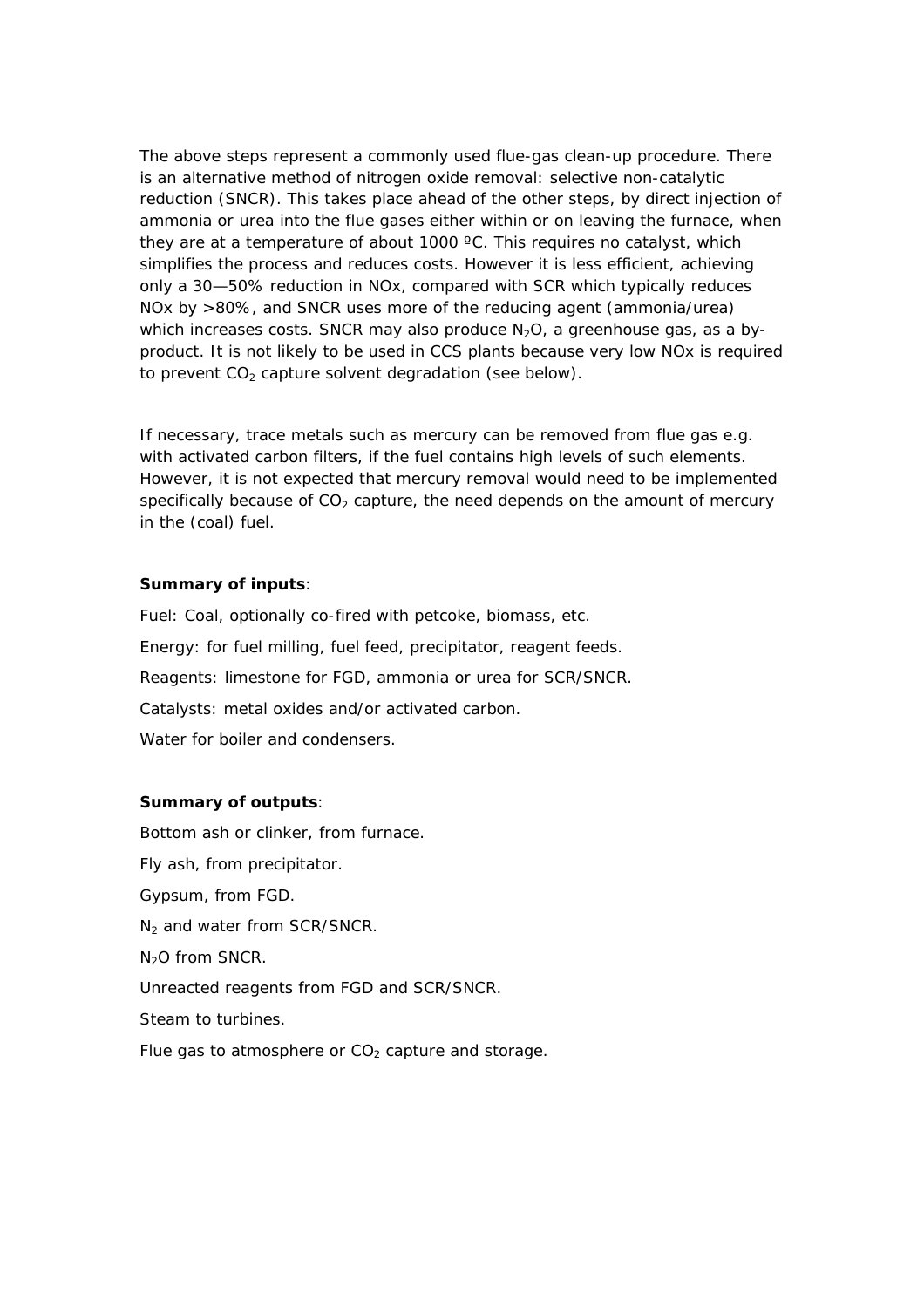The above steps represent a commonly used flue-gas clean-up procedure. There is an alternative method of nitrogen oxide removal: selective non-catalytic reduction (SNCR). This takes place ahead of the other steps, by direct injection of ammonia or urea into the flue gases either within or on leaving the furnace, when they are at a temperature of about 1000 ºC. This requires no catalyst, which simplifies the process and reduces costs. However it is less efficient, achieving only a 30—50% reduction in NOx, compared with SCR which typically reduces NOx by >80%, and SNCR uses more of the reducing agent (ammonia/urea) which increases costs. SNCR may also produce  $N_2O$ , a greenhouse gas, as a byproduct. It is not likely to be used in CCS plants because very low NOx is required to prevent  $CO<sub>2</sub>$  capture solvent degradation (see below).

If necessary, trace metals such as mercury can be removed from flue gas e.g. with activated carbon filters, if the fuel contains high levels of such elements. However, it is not expected that mercury removal would need to be implemented specifically because of  $CO<sub>2</sub>$  capture, the need depends on the amount of mercury in the (coal) fuel.

#### **Summary of inputs**:

Fuel: Coal, optionally co-fired with petcoke, biomass, etc. Energy: for fuel milling, fuel feed, precipitator, reagent feeds. Reagents: limestone for FGD, ammonia or urea for SCR/SNCR. Catalysts: metal oxides and/or activated carbon. Water for boiler and condensers.

#### **Summary of outputs**:

Bottom ash or clinker, from furnace. Fly ash, from precipitator. Gypsum, from FGD. N<sub>2</sub> and water from SCR/SNCR.  $N<sub>2</sub>O$  from SNCR. Unreacted reagents from FGD and SCR/SNCR. Steam to turbines. Flue gas to atmosphere or  $CO<sub>2</sub>$  capture and storage.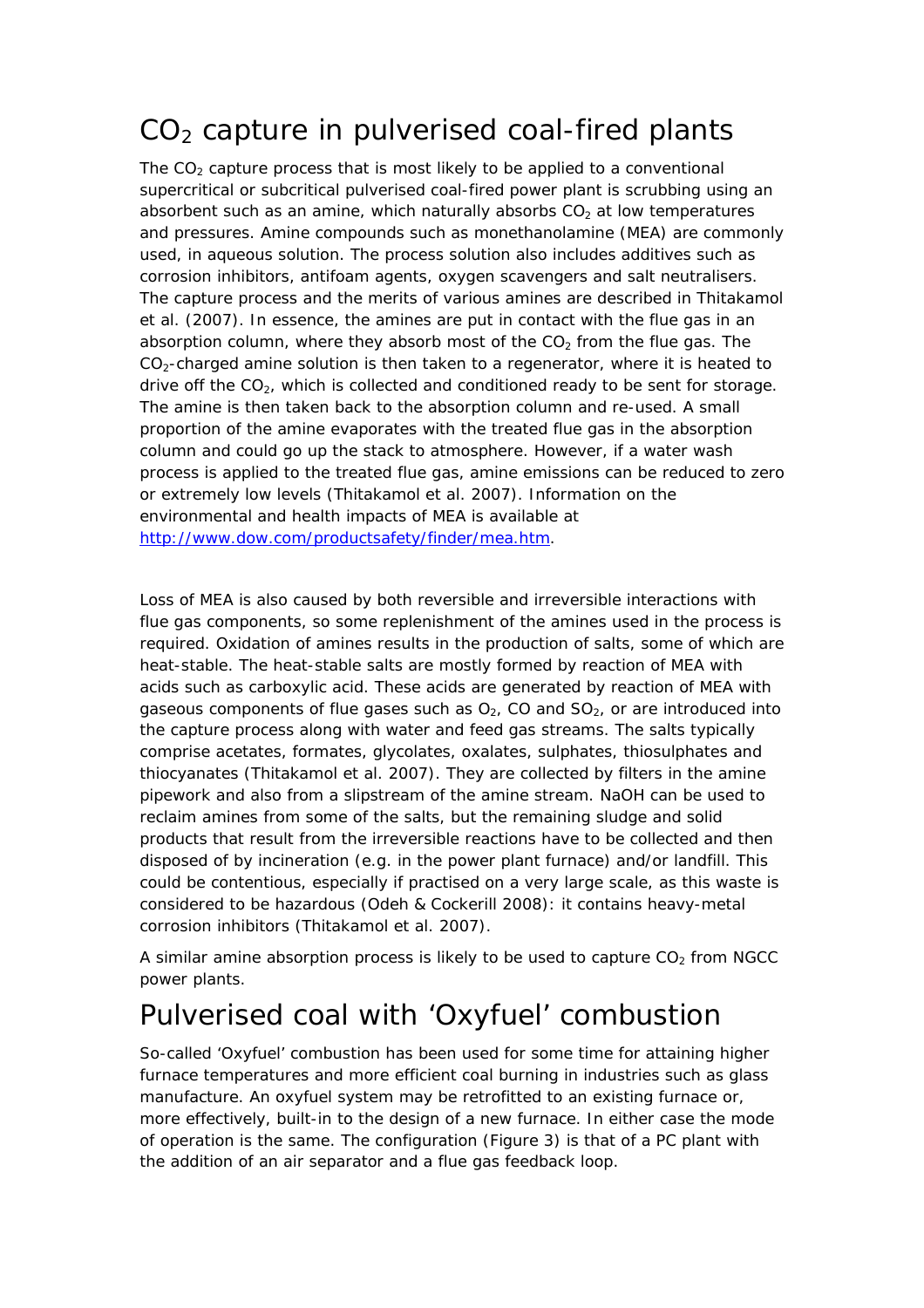### $CO<sub>2</sub>$  capture in pulverised coal-fired plants

The  $CO<sub>2</sub>$  capture process that is most likely to be applied to a conventional supercritical or subcritical pulverised coal-fired power plant is scrubbing using an absorbent such as an amine, which naturally absorbs  $CO<sub>2</sub>$  at low temperatures and pressures. Amine compounds such as monethanolamine (MEA) are commonly used, in aqueous solution. The process solution also includes additives such as corrosion inhibitors, antifoam agents, oxygen scavengers and salt neutralisers. The capture process and the merits of various amines are described in Thitakamol et al. (2007). In essence, the amines are put in contact with the flue gas in an absorption column, where they absorb most of the  $CO<sub>2</sub>$  from the flue gas. The  $CO<sub>2</sub>$ -charged amine solution is then taken to a regenerator, where it is heated to drive off the  $CO<sub>2</sub>$ , which is collected and conditioned ready to be sent for storage. The amine is then taken back to the absorption column and re-used. A small proportion of the amine evaporates with the treated flue gas in the absorption column and could go up the stack to atmosphere. However, if a water wash process is applied to the treated flue gas, amine emissions can be reduced to zero or extremely low levels (Thitakamol et al. 2007). Information on the environmental and health impacts of MEA is available at <http://www.dow.com/productsafety/finder/mea.htm>.

Loss of MEA is also caused by both reversible and irreversible interactions with flue gas components, so some replenishment of the amines used in the process is required. Oxidation of amines results in the production of salts, some of which are heat-stable. The heat-stable salts are mostly formed by reaction of MEA with acids such as carboxylic acid. These acids are generated by reaction of MEA with gaseous components of flue gases such as  $O<sub>2</sub>$ , CO and  $SO<sub>2</sub>$ , or are introduced into the capture process along with water and feed gas streams. The salts typically comprise acetates, formates, glycolates, oxalates, sulphates, thiosulphates and thiocyanates (Thitakamol et al. 2007). They are collected by filters in the amine pipework and also from a slipstream of the amine stream. NaOH can be used to reclaim amines from some of the salts, but the remaining sludge and solid products that result from the irreversible reactions have to be collected and then disposed of by incineration (e.g. in the power plant furnace) and/or landfill. This could be contentious, especially if practised on a very large scale, as this waste is considered to be hazardous (Odeh & Cockerill 2008): it contains heavy-metal corrosion inhibitors (Thitakamol et al. 2007).

A similar amine absorption process is likely to be used to capture  $CO<sub>2</sub>$  from NGCC power plants.

### Pulverised coal with 'Oxyfuel' combustion

So-called 'Oxyfuel' combustion has been used for some time for attaining higher furnace temperatures and more efficient coal burning in industries such as glass manufacture. An oxyfuel system may be retrofitted to an existing furnace or, more effectively, built-in to the design of a new furnace. In either case the mode of operation is the same. The configuration (Figure 3) is that of a PC plant with the addition of an air separator and a flue gas feedback loop.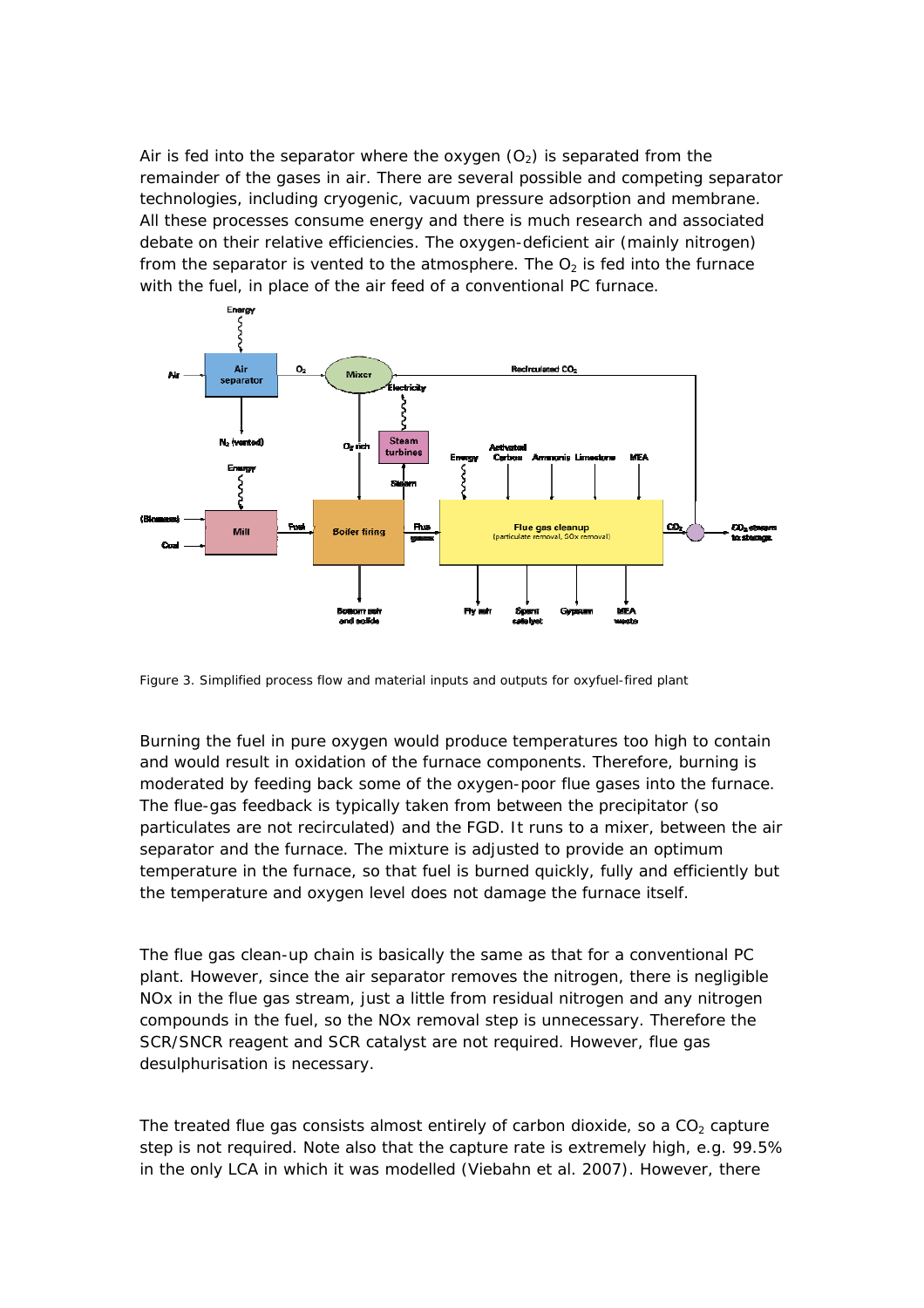Air is fed into the separator where the oxygen  $(O_2)$  is separated from the remainder of the gases in air. There are several possible and competing separator technologies, including cryogenic, vacuum pressure adsorption and membrane. All these processes consume energy and there is much research and associated debate on their relative efficiencies. The oxygen-deficient air (mainly nitrogen) from the separator is vented to the atmosphere. The  $O<sub>2</sub>$  is fed into the furnace with the fuel, in place of the air feed of a conventional PC furnace.

![](_page_12_Figure_1.jpeg)

Figure 3. Simplified process flow and material inputs and outputs for oxyfuel-fired plant

Burning the fuel in pure oxygen would produce temperatures too high to contain and would result in oxidation of the furnace components. Therefore, burning is moderated by feeding back some of the oxygen-poor flue gases into the furnace. The flue-gas feedback is typically taken from between the precipitator (so particulates are not recirculated) and the FGD. It runs to a mixer, between the air separator and the furnace. The mixture is adjusted to provide an optimum temperature in the furnace, so that fuel is burned quickly, fully and efficiently but the temperature and oxygen level does not damage the furnace itself.

The flue gas clean-up chain is basically the same as that for a conventional PC plant. However, since the air separator removes the nitrogen, there is negligible NOx in the flue gas stream, just a little from residual nitrogen and any nitrogen compounds in the fuel, so the NOx removal step is unnecessary. Therefore the SCR/SNCR reagent and SCR catalyst are not required. However, flue gas desulphurisation is necessary.

The treated flue gas consists almost entirely of carbon dioxide, so a  $CO<sub>2</sub>$  capture step is not required. Note also that the capture rate is extremely high, e.g. 99.5% in the only LCA in which it was modelled (Viebahn et al. 2007). However, there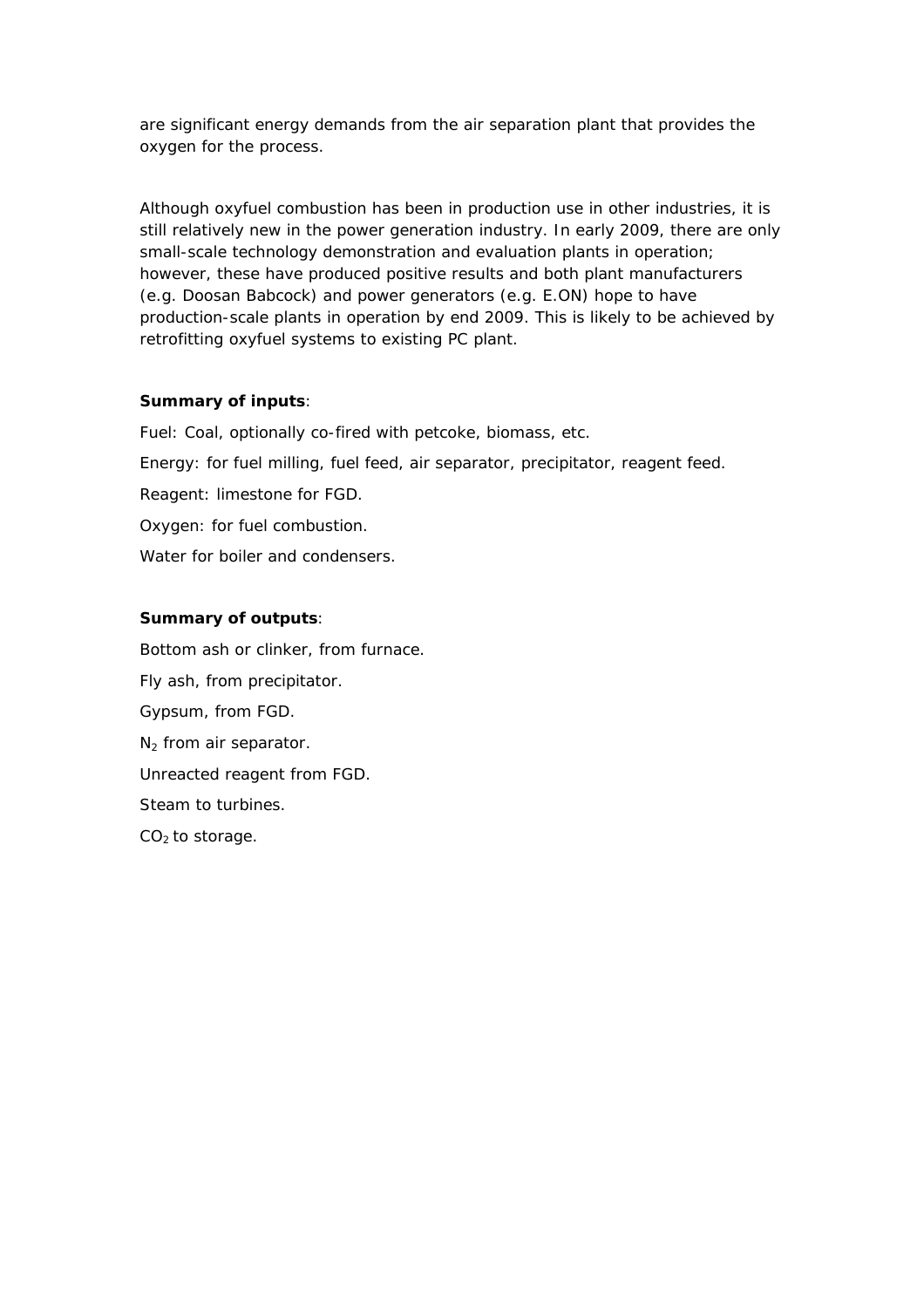are significant energy demands from the air separation plant that provides the oxygen for the process.

Although oxyfuel combustion has been in production use in other industries, it is still relatively new in the power generation industry. In early 2009, there are only small-scale technology demonstration and evaluation plants in operation; however, these have produced positive results and both plant manufacturers (e.g. Doosan Babcock) and power generators (e.g. E.ON) hope to have production-scale plants in operation by end 2009. This is likely to be achieved by retrofitting oxyfuel systems to existing PC plant.

#### **Summary of inputs**:

Fuel: Coal, optionally co-fired with petcoke, biomass, etc. Energy: for fuel milling, fuel feed, air separator, precipitator, reagent feed. Reagent: limestone for FGD. Oxygen: for fuel combustion.

Water for boiler and condensers.

#### **Summary of outputs**:

Bottom ash or clinker, from furnace. Fly ash, from precipitator. Gypsum, from FGD. N<sub>2</sub> from air separator. Unreacted reagent from FGD. Steam to turbines.  $CO<sub>2</sub>$  to storage.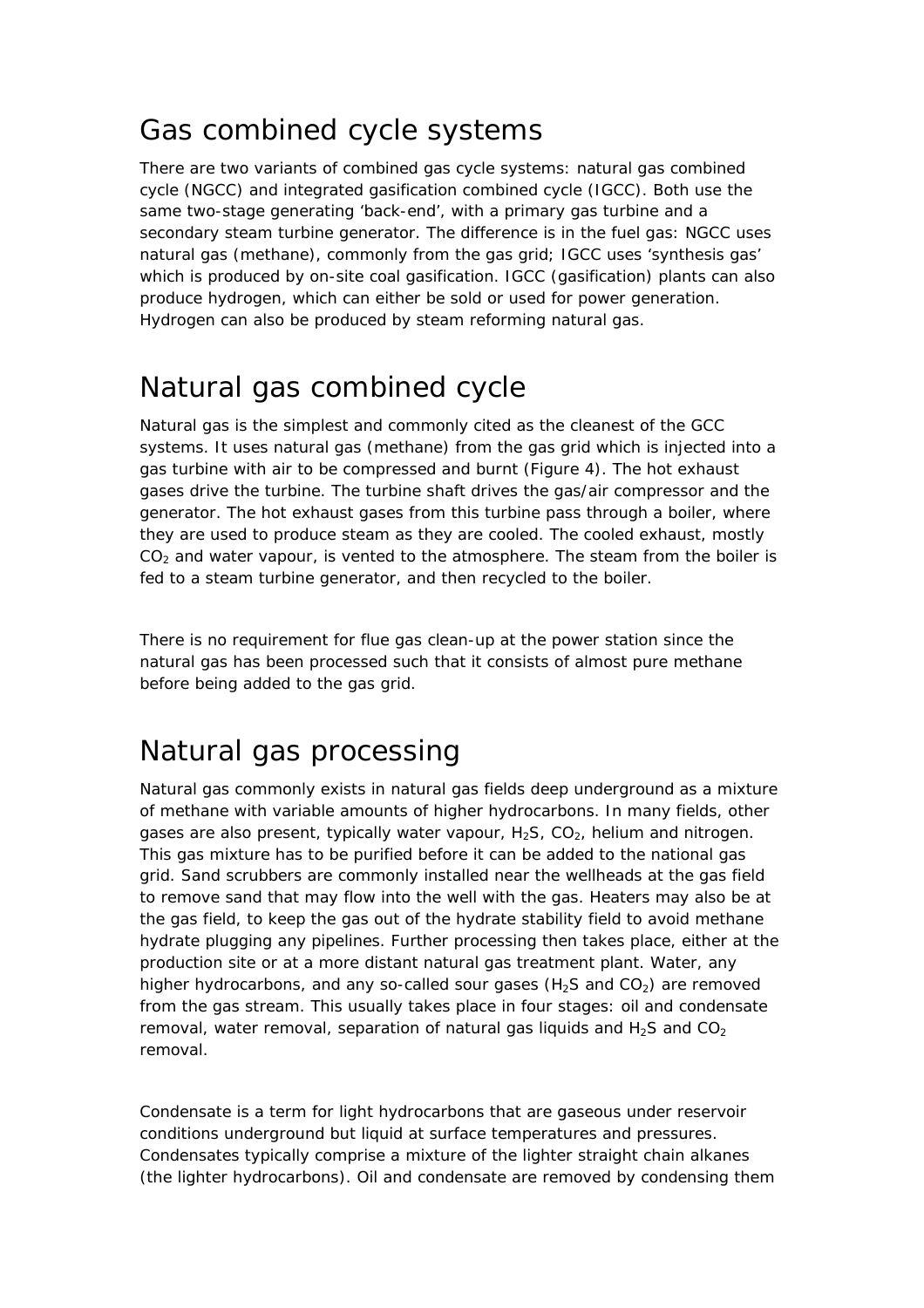### Gas combined cycle systems

There are two variants of combined gas cycle systems: natural gas combined cycle (NGCC) and integrated gasification combined cycle (IGCC). Both use the same two-stage generating 'back-end', with a primary gas turbine and a secondary steam turbine generator. The difference is in the fuel gas: NGCC uses natural gas (methane), commonly from the gas grid; IGCC uses 'synthesis gas' which is produced by on-site coal gasification. IGCC (gasification) plants can also produce hydrogen, which can either be sold or used for power generation. Hydrogen can also be produced by steam reforming natural gas.

### Natural gas combined cycle

Natural gas is the simplest and commonly cited as the cleanest of the GCC systems. It uses natural gas (methane) from the gas grid which is injected into a gas turbine with air to be compressed and burnt (Figure 4). The hot exhaust gases drive the turbine. The turbine shaft drives the gas/air compressor and the generator. The hot exhaust gases from this turbine pass through a boiler, where they are used to produce steam as they are cooled. The cooled exhaust, mostly  $CO<sub>2</sub>$  and water vapour, is vented to the atmosphere. The steam from the boiler is fed to a steam turbine generator, and then recycled to the boiler.

There is no requirement for flue gas clean-up at the power station since the natural gas has been processed such that it consists of almost pure methane before being added to the gas grid.

### Natural gas processing

Natural gas commonly exists in natural gas fields deep underground as a mixture of methane with variable amounts of higher hydrocarbons. In many fields, other gases are also present, typically water vapour,  $H_2S$ ,  $CO_2$ , helium and nitrogen. This gas mixture has to be purified before it can be added to the national gas grid. Sand scrubbers are commonly installed near the wellheads at the gas field to remove sand that may flow into the well with the gas. Heaters may also be at the gas field, to keep the gas out of the hydrate stability field to avoid methane hydrate plugging any pipelines. Further processing then takes place, either at the production site or at a more distant natural gas treatment plant. Water, any higher hydrocarbons, and any so-called sour gases ( $H_2S$  and  $CO_2$ ) are removed from the gas stream. This usually takes place in four stages: oil and condensate removal, water removal, separation of natural gas liquids and  $H_2S$  and  $CO_2$ removal.

Condensate is a term for light hydrocarbons that are gaseous under reservoir conditions underground but liquid at surface temperatures and pressures. Condensates typically comprise a mixture of the lighter straight chain alkanes (the lighter hydrocarbons). Oil and condensate are removed by condensing them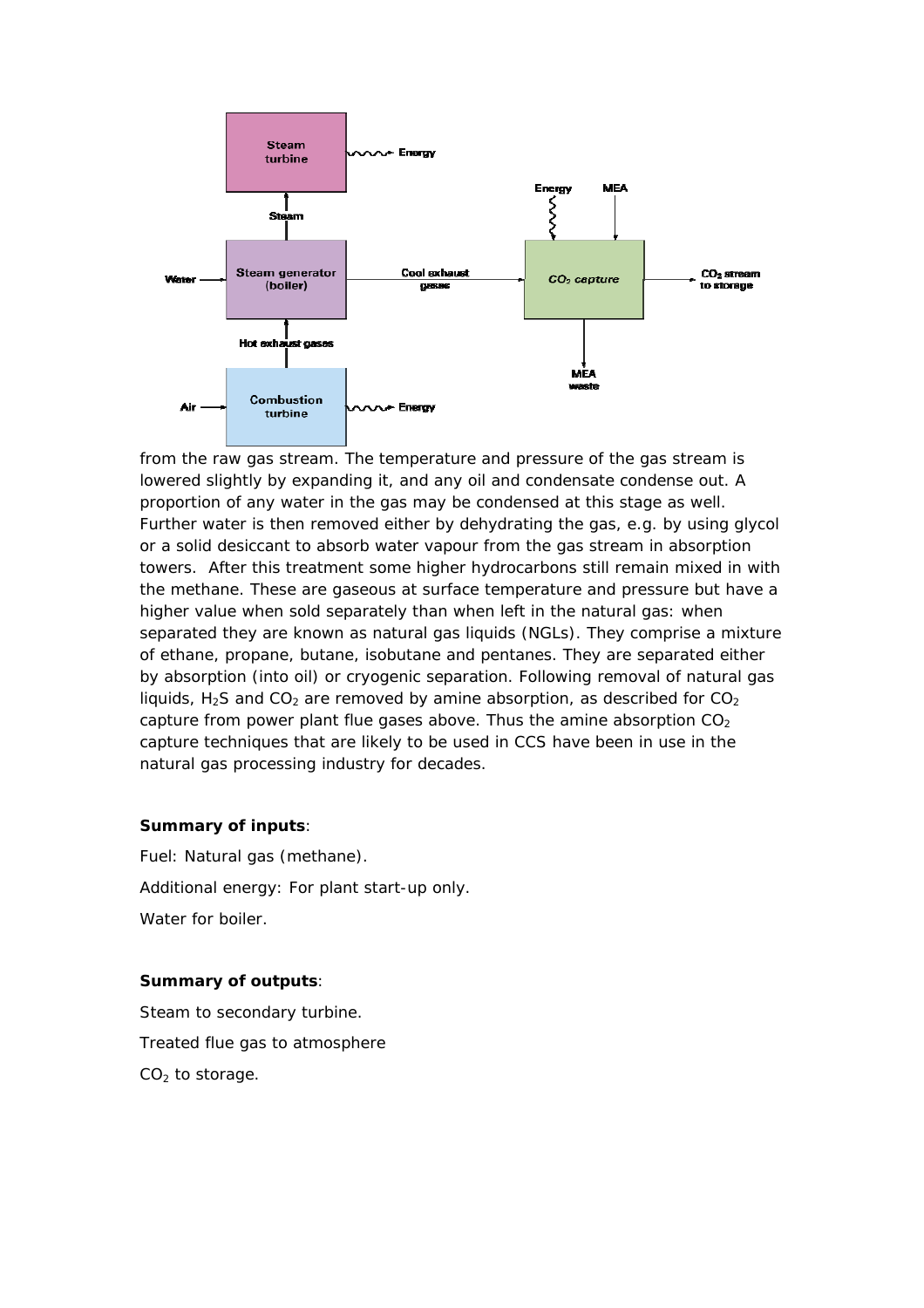![](_page_15_Figure_0.jpeg)

from the raw gas stream. The temperature and pressure of the gas stream is lowered slightly by expanding it, and any oil and condensate condense out. A proportion of any water in the gas may be condensed at this stage as well. Further water is then removed either by dehydrating the gas, e.g. by using glycol or a solid desiccant to absorb water vapour from the gas stream in absorption towers. After this treatment some higher hydrocarbons still remain mixed in with the methane. These are gaseous at surface temperature and pressure but have a higher value when sold separately than when left in the natural gas: when separated they are known as natural gas liquids (NGLs). They comprise a mixture of ethane, propane, butane, isobutane and pentanes. They are separated either by absorption (into oil) or cryogenic separation. Following removal of natural gas liquids,  $H_2S$  and CO<sub>2</sub> are removed by amine absorption, as described for CO<sub>2</sub> capture from power plant flue gases above. Thus the amine absorption  $CO<sub>2</sub>$ capture techniques that are likely to be used in CCS have been in use in the natural gas processing industry for decades.

#### **Summary of inputs**:

Fuel: Natural gas (methane). Additional energy: For plant start-up only. Water for boiler.

#### **Summary of outputs**:

Steam to secondary turbine. Treated flue gas to atmosphere  $CO<sub>2</sub>$  to storage.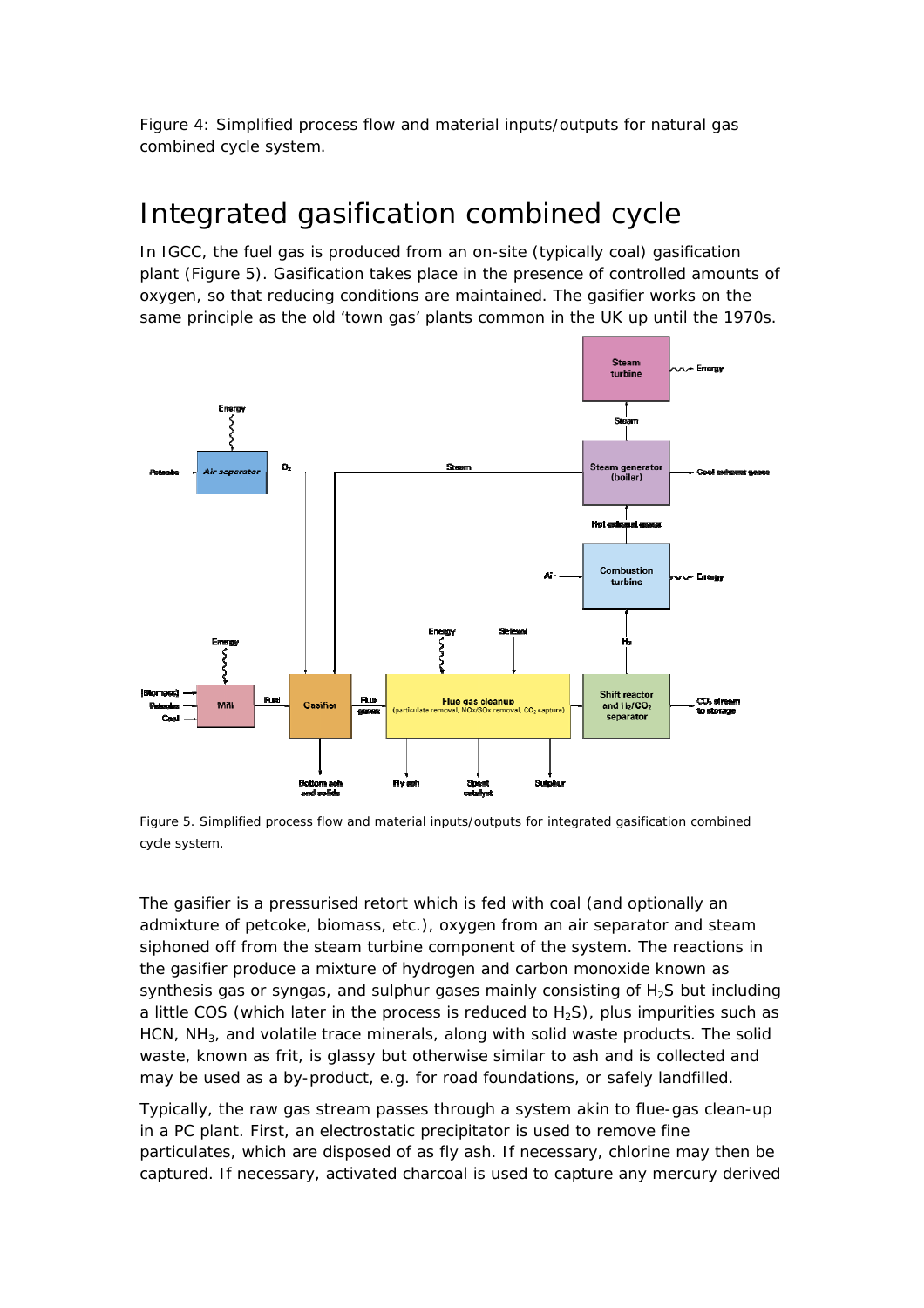Figure 4: Simplified process flow and material inputs/outputs for natural gas combined cycle system.

### Integrated gasification combined cycle

In IGCC, the fuel gas is produced from an on-site (typically coal) gasification plant (Figure 5). Gasification takes place in the presence of controlled amounts of oxygen, so that reducing conditions are maintained. The gasifier works on the same principle as the old 'town gas' plants common in the UK up until the 1970s.

![](_page_16_Figure_3.jpeg)

Figure 5. Simplified process flow and material inputs/outputs for integrated gasification combined cycle system.

The gasifier is a pressurised retort which is fed with coal (and optionally an admixture of petcoke, biomass, etc.), oxygen from an air separator and steam siphoned off from the steam turbine component of the system. The reactions in the gasifier produce a mixture of hydrogen and carbon monoxide known as synthesis gas or syngas, and sulphur gases mainly consisting of  $H_2S$  but including a little COS (which later in the process is reduced to  $H_2S$ ), plus impurities such as HCN,  $NH<sub>3</sub>$ , and volatile trace minerals, along with solid waste products. The solid waste, known as frit, is glassy but otherwise similar to ash and is collected and may be used as a by-product, e.g. for road foundations, or safely landfilled.

Typically, the raw gas stream passes through a system akin to flue-gas clean-up in a PC plant. First, an electrostatic precipitator is used to remove fine particulates, which are disposed of as fly ash. If necessary, chlorine may then be captured. If necessary, activated charcoal is used to capture any mercury derived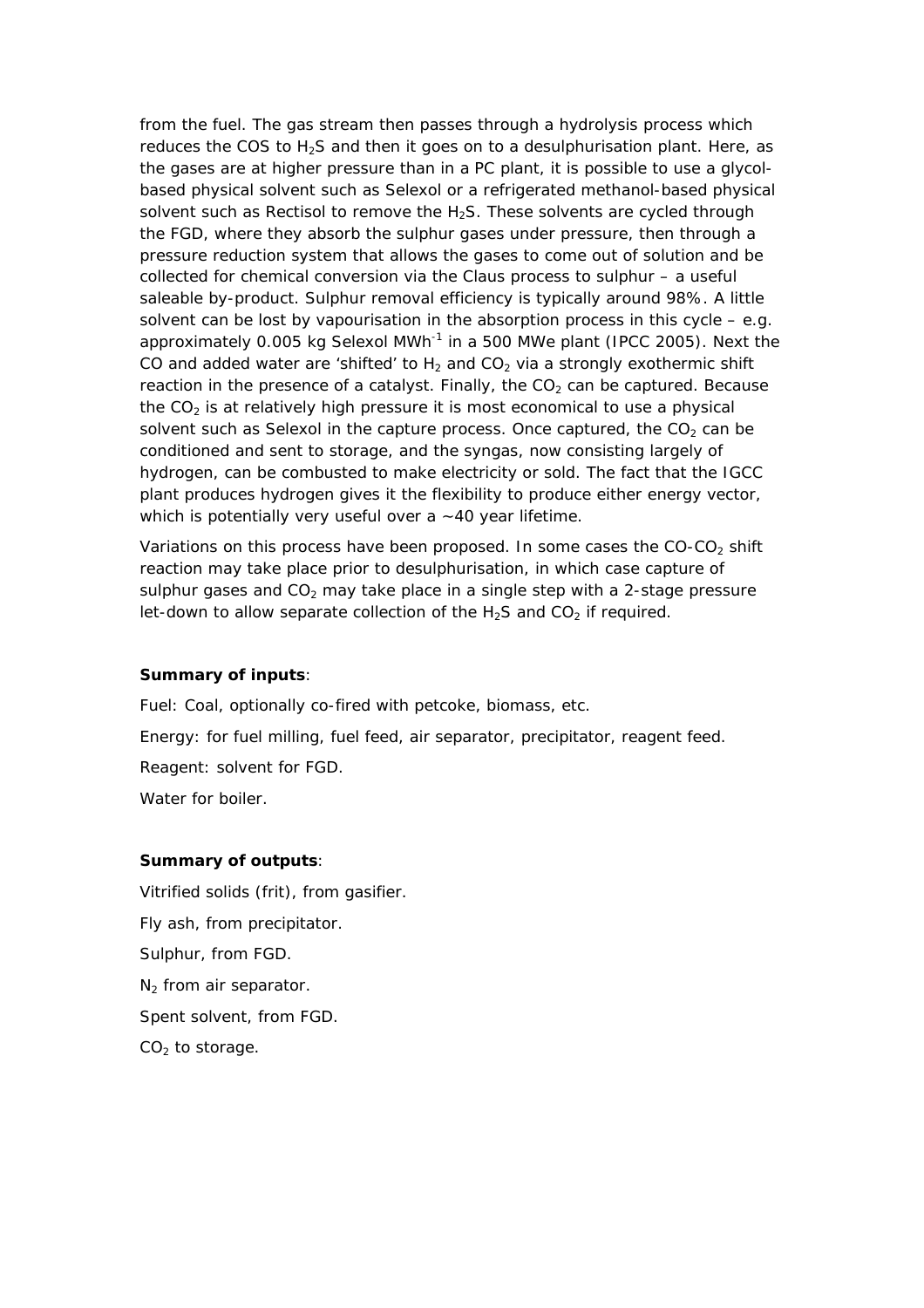from the fuel. The gas stream then passes through a hydrolysis process which reduces the COS to  $H_2S$  and then it goes on to a desulphurisation plant. Here, as the gases are at higher pressure than in a PC plant, it is possible to use a glycolbased physical solvent such as Selexol or a refrigerated methanol-based physical solvent such as Rectisol to remove the  $H_2S$ . These solvents are cycled through the FGD, where they absorb the sulphur gases under pressure, then through a pressure reduction system that allows the gases to come out of solution and be collected for chemical conversion via the Claus process to sulphur – a useful saleable by-product. Sulphur removal efficiency is typically around 98%. A little solvent can be lost by vapourisation in the absorption process in this cycle  $-$  e.g. approximately 0.005 kg Selexol MWh<sup>-1</sup> in a 500 MWe plant (IPCC 2005). Next the CO and added water are 'shifted' to  $H_2$  and CO<sub>2</sub> via a strongly exothermic shift reaction in the presence of a catalyst. Finally, the  $CO<sub>2</sub>$  can be captured. Because the  $CO<sub>2</sub>$  is at relatively high pressure it is most economical to use a physical solvent such as Selexol in the capture process. Once captured, the  $CO<sub>2</sub>$  can be conditioned and sent to storage, and the syngas, now consisting largely of hydrogen, can be combusted to make electricity or sold. The fact that the IGCC plant produces hydrogen gives it the flexibility to produce either energy vector, which is potentially very useful over a  $~1$ 40 year lifetime.

Variations on this process have been proposed. In some cases the  $CO-CO<sub>2</sub>$  shift reaction may take place prior to desulphurisation, in which case capture of sulphur gases and  $CO<sub>2</sub>$  may take place in a single step with a 2-stage pressure let-down to allow separate collection of the  $H_2S$  and  $CO_2$  if required.

#### **Summary of inputs**:

Fuel: Coal, optionally co-fired with petcoke, biomass, etc.

Energy: for fuel milling, fuel feed, air separator, precipitator, reagent feed.

Reagent: solvent for FGD.

Water for boiler.

#### **Summary of outputs**:

Vitrified solids (frit), from gasifier. Fly ash, from precipitator. Sulphur, from FGD.  $N_2$  from air separator. Spent solvent, from FGD.  $CO<sub>2</sub>$  to storage.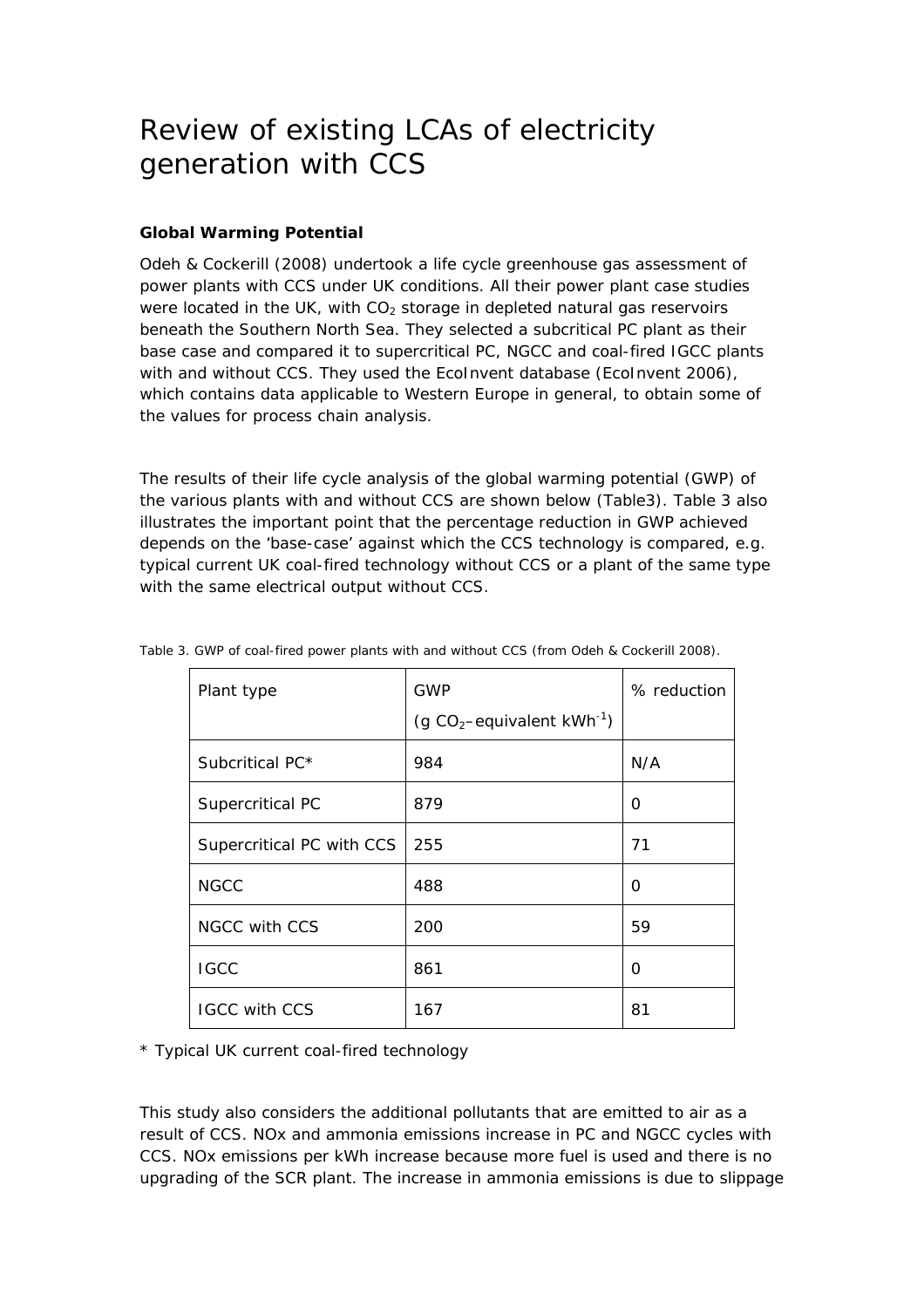### Review of existing LCAs of electricity generation with CCS

#### **Global Warming Potential**

Odeh & Cockerill (2008) undertook a life cycle greenhouse gas assessment of power plants with CCS under UK conditions. All their power plant case studies were located in the UK, with  $CO<sub>2</sub>$  storage in depleted natural gas reservoirs beneath the Southern North Sea. They selected a subcritical PC plant as their base case and compared it to supercritical PC, NGCC and coal-fired IGCC plants with and without CCS. They used the EcoInvent database (EcoInvent 2006), which contains data applicable to Western Europe in general, to obtain some of the values for process chain analysis.

The results of their life cycle analysis of the global warming potential (GWP) of the various plants with and without CCS are shown below (Table3). Table 3 also illustrates the important point that the percentage reduction in GWP achieved depends on the 'base-case' against which the CCS technology is compared, e.g. typical current UK coal-fired technology without CCS or a plant of the same type with the same electrical output without CCS.

| Plant type                | GWP                                       | % reduction |
|---------------------------|-------------------------------------------|-------------|
|                           | (g $CO_2$ -equivalent kWh <sup>-1</sup> ) |             |
| Subcritical PC*           | 984                                       | N/A         |
| Supercritical PC          | 879                                       | O           |
| Supercritical PC with CCS | 255                                       | 71          |
| <b>NGCC</b>               | 488                                       | O           |
| <b>NGCC with CCS</b>      | 200                                       | 59          |
| <b>IGCC</b>               | 861                                       | Ω           |
| <b>IGCC with CCS</b>      | 167                                       | 81          |

Table 3. GWP of coal-fired power plants with and without CCS (from Odeh & Cockerill 2008).

\* Typical UK current coal-fired technology

This study also considers the additional pollutants that are emitted to air as a result of CCS. NOx and ammonia emissions increase in PC and NGCC cycles with CCS. NOx emissions per kWh increase because more fuel is used and there is no upgrading of the SCR plant. The increase in ammonia emissions is due to slippage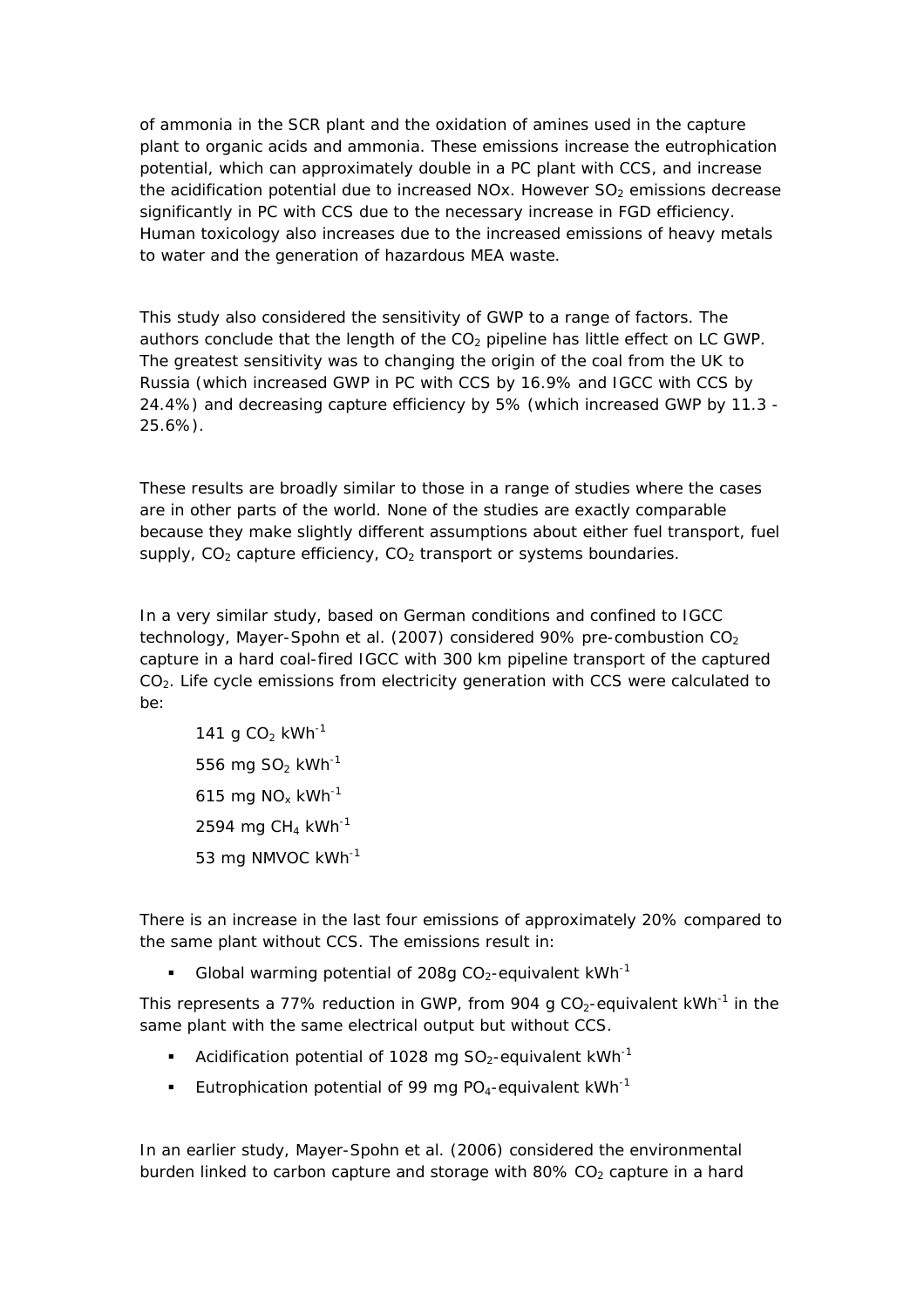of ammonia in the SCR plant and the oxidation of amines used in the capture plant to organic acids and ammonia. These emissions increase the eutrophication potential, which can approximately double in a PC plant with CCS, and increase the acidification potential due to increased NOx. However  $SO<sub>2</sub>$  emissions decrease significantly in PC with CCS due to the necessary increase in FGD efficiency. Human toxicology also increases due to the increased emissions of heavy metals to water and the generation of hazardous MEA waste.

This study also considered the sensitivity of GWP to a range of factors. The authors conclude that the length of the  $CO<sub>2</sub>$  pipeline has little effect on LC GWP. The greatest sensitivity was to changing the origin of the coal from the UK to Russia (which increased GWP in PC with CCS by 16.9% and IGCC with CCS by 24.4%) and decreasing capture efficiency by 5% (which increased GWP by 11.3 - 25.6%).

These results are broadly similar to those in a range of studies where the cases are in other parts of the world. None of the studies are exactly comparable because they make slightly different assumptions about either fuel transport, fuel supply,  $CO<sub>2</sub>$  capture efficiency,  $CO<sub>2</sub>$  transport or systems boundaries.

In a very similar study, based on German conditions and confined to IGCC technology, Mayer-Spohn et al. (2007) considered 90% pre-combustion  $CO<sub>2</sub>$ capture in a hard coal-fired IGCC with 300 km pipeline transport of the captured  $CO<sub>2</sub>$ . Life cycle emissions from electricity generation with CCS were calculated to be:

141 g CO<sub>2</sub> kWh<sup>-1</sup> 556 mg SO<sub>2</sub> kWh<sup>-1</sup> 615 mg NO<sub>x</sub>  $kWh^{-1}$ 2594 mg CH<sub>4</sub> kWh<sup>-1</sup> 53 mg NMVOC kWh-1

There is an increase in the last four emissions of approximately 20% compared to the same plant without CCS. The emissions result in:

Global warming potential of 208g  $CO<sub>2</sub>$ -equivalent kWh<sup>-1</sup>

This represents a 77% reduction in GWP, from 904 g  $CO<sub>2</sub>$ -equivalent kWh<sup>-1</sup> in the same plant with the same electrical output but without CCS.

- Acidification potential of 1028 mg  $SO_2$ -equivalent kWh<sup>-1</sup>
- Eutrophication potential of 99 mg PO<sub>4</sub>-equivalent kWh<sup>-1</sup>

In an earlier study, Mayer-Spohn et al. (2006) considered the environmental burden linked to carbon capture and storage with  $80\%$  CO<sub>2</sub> capture in a hard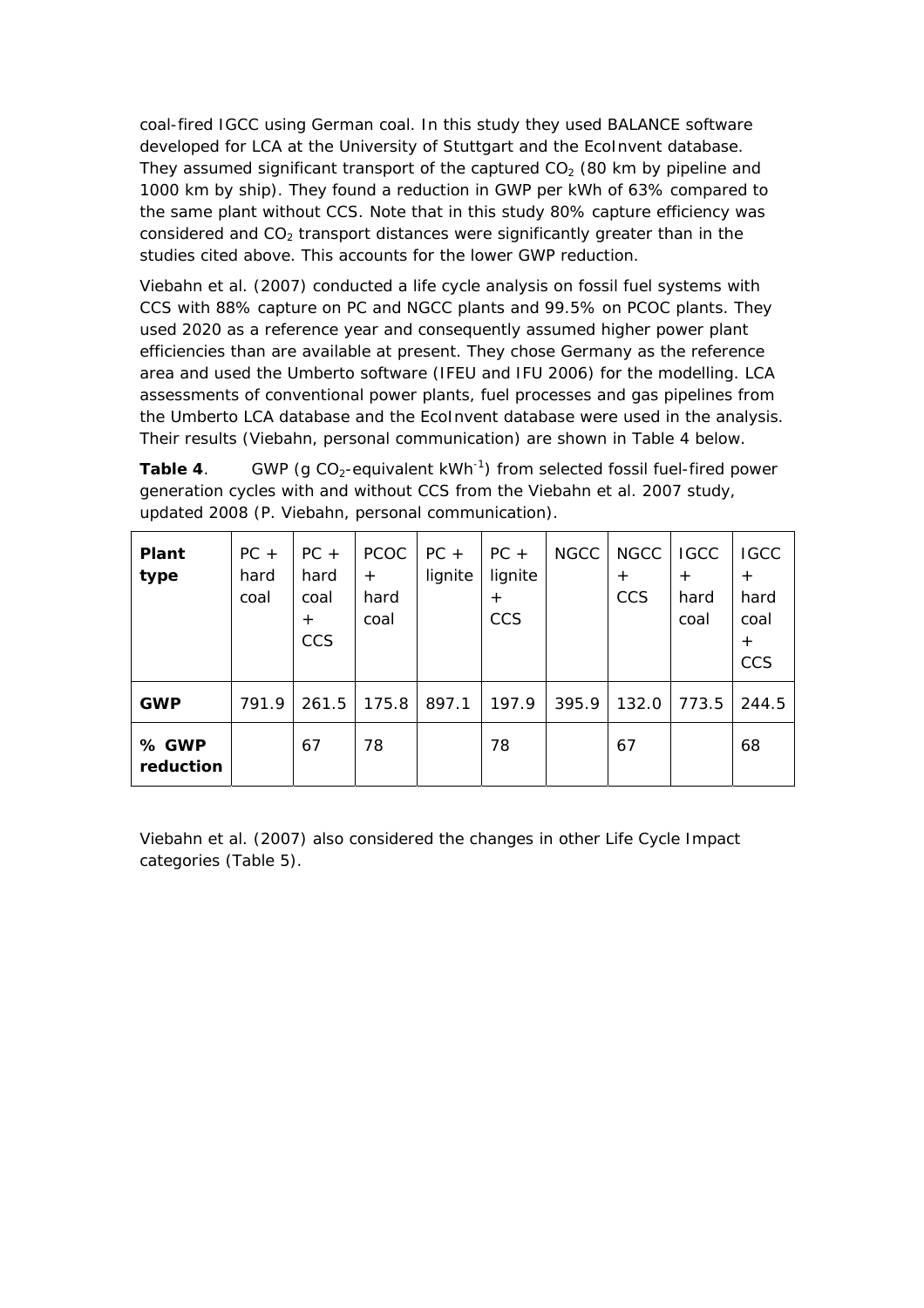coal-fired IGCC using German coal. In this study they used BALANCE software developed for LCA at the University of Stuttgart and the EcoInvent database. They assumed significant transport of the captured  $CO<sub>2</sub>$  (80 km by pipeline and 1000 km by ship). They found a reduction in GWP per kWh of 63% compared to the same plant without CCS. Note that in this study 80% capture efficiency was considered and  $CO<sub>2</sub>$  transport distances were significantly greater than in the studies cited above. This accounts for the lower GWP reduction.

Viebahn et al. (2007) conducted a life cycle analysis on fossil fuel systems with CCS with 88% capture on PC and NGCC plants and 99.5% on PCOC plants. They used 2020 as a reference year and consequently assumed higher power plant efficiencies than are available at present. They chose Germany as the reference area and used the Umberto software (IFEU and IFU 2006) for the modelling. LCA assessments of conventional power plants, fuel processes and gas pipelines from the Umberto LCA database and the EcoInvent database were used in the analysis. Their results (Viebahn, personal communication) are shown in Table 4 below.

**Table 4**. GWP (g  $CO_2$ -equivalent kWh<sup>-1</sup>) from selected fossil fuel-fired power generation cycles with and without CCS from the Viebahn et al. 2007 study, updated 2008 (P. Viebahn, personal communication).

| Plant<br>type      | $PC +$<br>hard<br>coal | $PC +$<br>hard<br>coal<br>$+$<br><b>CCS</b> | <b>PCOC</b><br>$^{+}$<br>hard<br>coal | $PC +$<br>lignite | $PC +$<br>lignite<br>$+$<br>CCS | <b>NGCC</b> | <b>NGCC</b><br>$+$<br><b>CCS</b> | <b>IGCC</b><br>$^{+}$<br>hard<br>coal | <b>IGCC</b><br>$+$<br>hard<br>coal<br>$+$<br>CCS |
|--------------------|------------------------|---------------------------------------------|---------------------------------------|-------------------|---------------------------------|-------------|----------------------------------|---------------------------------------|--------------------------------------------------|
| <b>GWP</b>         | 791.9                  | 261.5                                       | 175.8                                 | 897.1             | 197.9                           | 395.9       | 132.0                            | 773.5                                 | 244.5                                            |
| % GWP<br>reduction |                        | 67                                          | 78                                    |                   | 78                              |             | 67                               |                                       | 68                                               |

Viebahn et al. (2007) also considered the changes in other Life Cycle Impact categories (Table 5).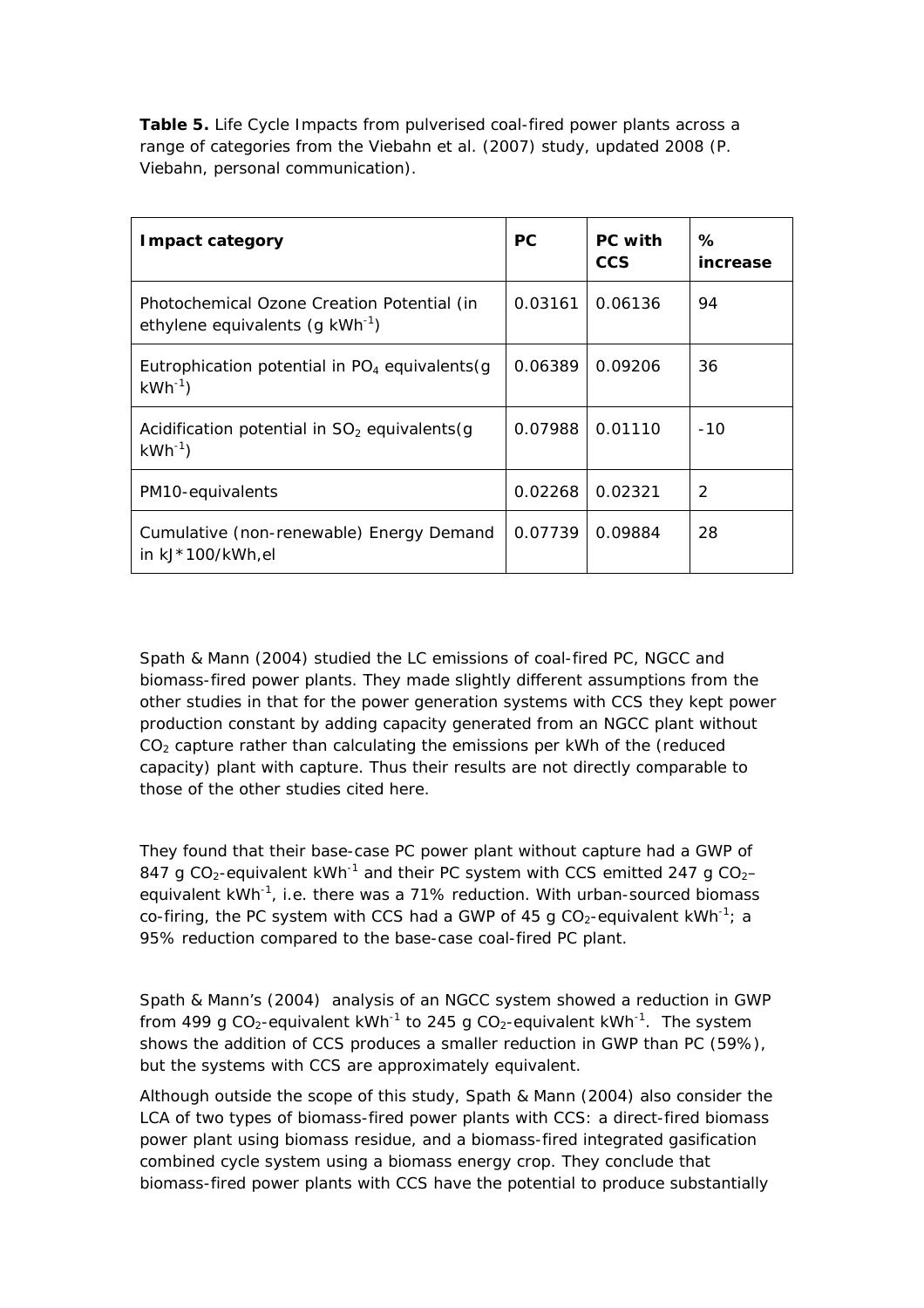**Table 5.** Life Cycle Impacts from pulverised coal-fired power plants across a range of categories from the Viebahn et al. (2007) study, updated 2008 (P. Viebahn, personal communication).

| <b>Impact category</b>                                                                    | PC      | <b>PC</b> with<br><b>CCS</b> | ℅<br>increase |
|-------------------------------------------------------------------------------------------|---------|------------------------------|---------------|
| Photochemical Ozone Creation Potential (in<br>ethylene equivalents (g kWh <sup>-1</sup> ) | 0.03161 | 0.06136                      | 94            |
| Eutrophication potential in $PO4$ equivalents (g)<br>$kWh^{-1}$                           | 0.06389 | 0.09206                      | 36            |
| Acidification potential in $SO2$ equivalents (g<br>$kWh^{-1}$                             | 0.07988 | 0.01110                      | $-10$         |
| PM10-equivalents                                                                          | 0.02268 | 0.02321                      | 2             |
| Cumulative (non-renewable) Energy Demand<br>in kJ*100/kWh,el                              | 0.07739 | 0.09884                      | 28            |

Spath & Mann (2004) studied the LC emissions of coal-fired PC, NGCC and biomass-fired power plants. They made slightly different assumptions from the other studies in that for the power generation systems with CCS they kept power production constant by adding capacity generated from an NGCC plant without  $CO<sub>2</sub>$  capture rather than calculating the emissions per kWh of the (reduced capacity) plant with capture. Thus their results are not directly comparable to those of the other studies cited here.

They found that their base-case PC power plant without capture had a GWP of 847 g CO<sub>2</sub>-equivalent kWh<sup>-1</sup> and their PC system with CCS emitted 247 g CO<sub>2</sub>equivalent  $kWh^{-1}$ , i.e. there was a 71% reduction. With urban-sourced biomass co-firing, the PC system with CCS had a GWP of 45 g  $CO<sub>2</sub>$ -equivalent kWh<sup>-1</sup>; a 95% reduction compared to the base-case coal-fired PC plant.

Spath & Mann's (2004) analysis of an NGCC system showed a reduction in GWP from 499 g CO<sub>2</sub>-equivalent kWh<sup>-1</sup> to 245 g CO<sub>2</sub>-equivalent kWh<sup>-1</sup>. The system shows the addition of CCS produces a smaller reduction in GWP than PC (59%), but the systems with CCS are approximately equivalent.

Although outside the scope of this study, Spath & Mann (2004) also consider the LCA of two types of biomass-fired power plants with CCS: a direct-fired biomass power plant using biomass residue, and a biomass-fired integrated gasification combined cycle system using a biomass energy crop. They conclude that biomass-fired power plants with CCS have the potential to produce substantially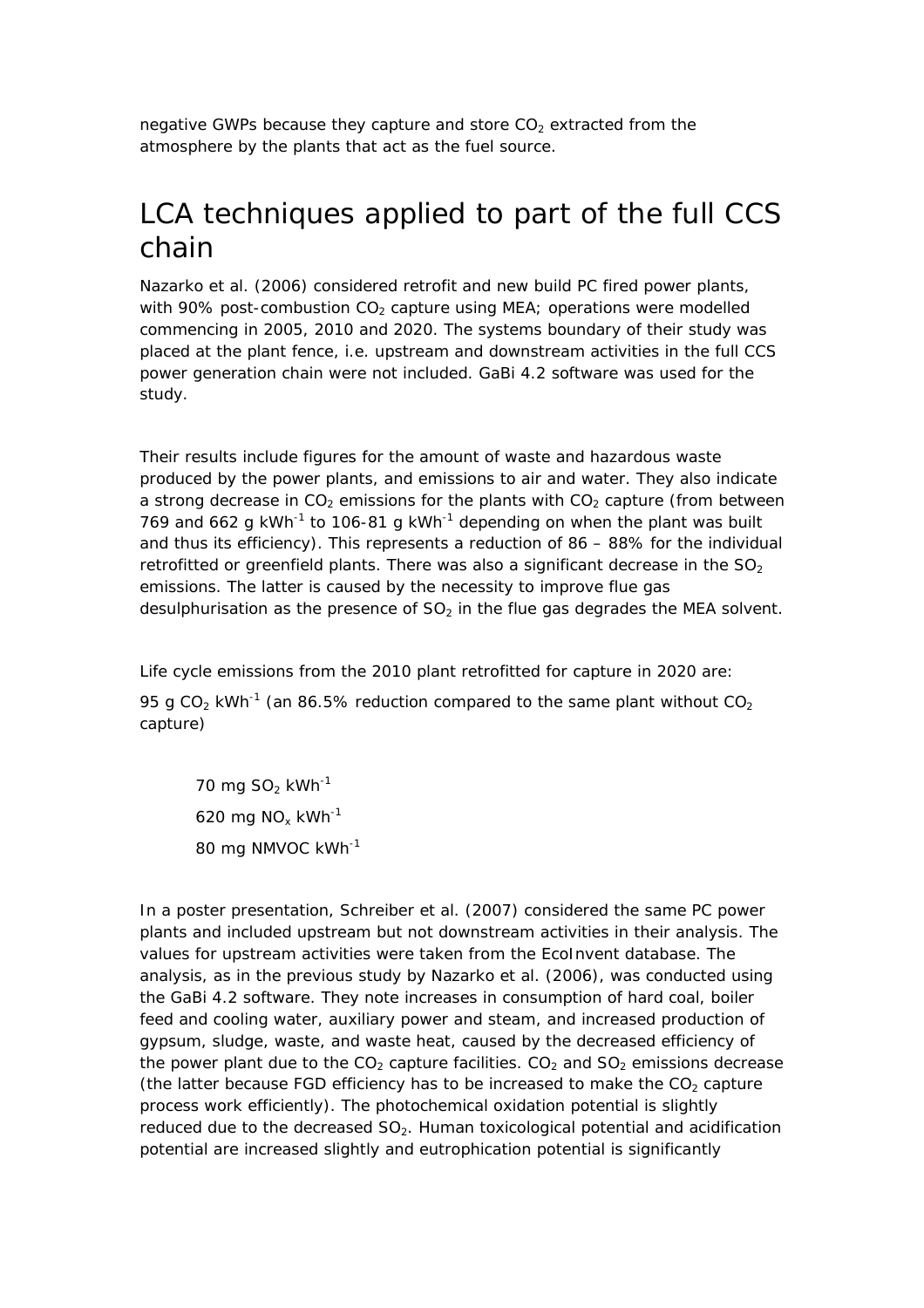negative GWPs because they capture and store  $CO<sub>2</sub>$  extracted from the atmosphere by the plants that act as the fuel source.

### LCA techniques applied to part of the full CCS chain

Nazarko et al. (2006) considered retrofit and new build PC fired power plants, with 90% post-combustion  $CO<sub>2</sub>$  capture using MEA; operations were modelled commencing in 2005, 2010 and 2020. The systems boundary of their study was placed at the plant fence, i.e. upstream and downstream activities in the full CCS power generation chain were not included. GaBi 4.2 software was used for the study.

Their results include figures for the amount of waste and hazardous waste produced by the power plants, and emissions to air and water. They also indicate a strong decrease in  $CO<sub>2</sub>$  emissions for the plants with  $CO<sub>2</sub>$  capture (from between 769 and 662 g kWh<sup>-1</sup> to 106-81 g kWh<sup>-1</sup> depending on when the plant was built and thus its efficiency). This represents a reduction of 86 – 88% for the individual retrofitted or greenfield plants. There was also a significant decrease in the  $SO<sub>2</sub>$ emissions. The latter is caused by the necessity to improve flue gas desulphurisation as the presence of  $SO<sub>2</sub>$  in the flue gas degrades the MEA solvent.

Life cycle emissions from the 2010 plant retrofitted for capture in 2020 are:

95 g CO<sub>2</sub> kWh<sup>-1</sup> (an 86.5% reduction compared to the same plant without  $CO<sub>2</sub>$ capture)

70 mg  $SO<sub>2</sub>$  kWh<sup>-1</sup> 620 mg NO<sub>x</sub> kWh<sup>-1</sup> 80 mg NMVOC kWh-1

In a poster presentation, Schreiber et al. (2007) considered the same PC power plants and included upstream but not downstream activities in their analysis. The values for upstream activities were taken from the EcoInvent database. The analysis, as in the previous study by Nazarko et al. (2006), was conducted using the GaBi 4.2 software. They note increases in consumption of hard coal, boiler feed and cooling water, auxiliary power and steam, and increased production of gypsum, sludge, waste, and waste heat, caused by the decreased efficiency of the power plant due to the  $CO<sub>2</sub>$  capture facilities.  $CO<sub>2</sub>$  and  $SO<sub>2</sub>$  emissions decrease (the latter because FGD efficiency has to be increased to make the  $CO<sub>2</sub>$  capture process work efficiently). The photochemical oxidation potential is slightly reduced due to the decreased  $SO<sub>2</sub>$ . Human toxicological potential and acidification potential are increased slightly and eutrophication potential is significantly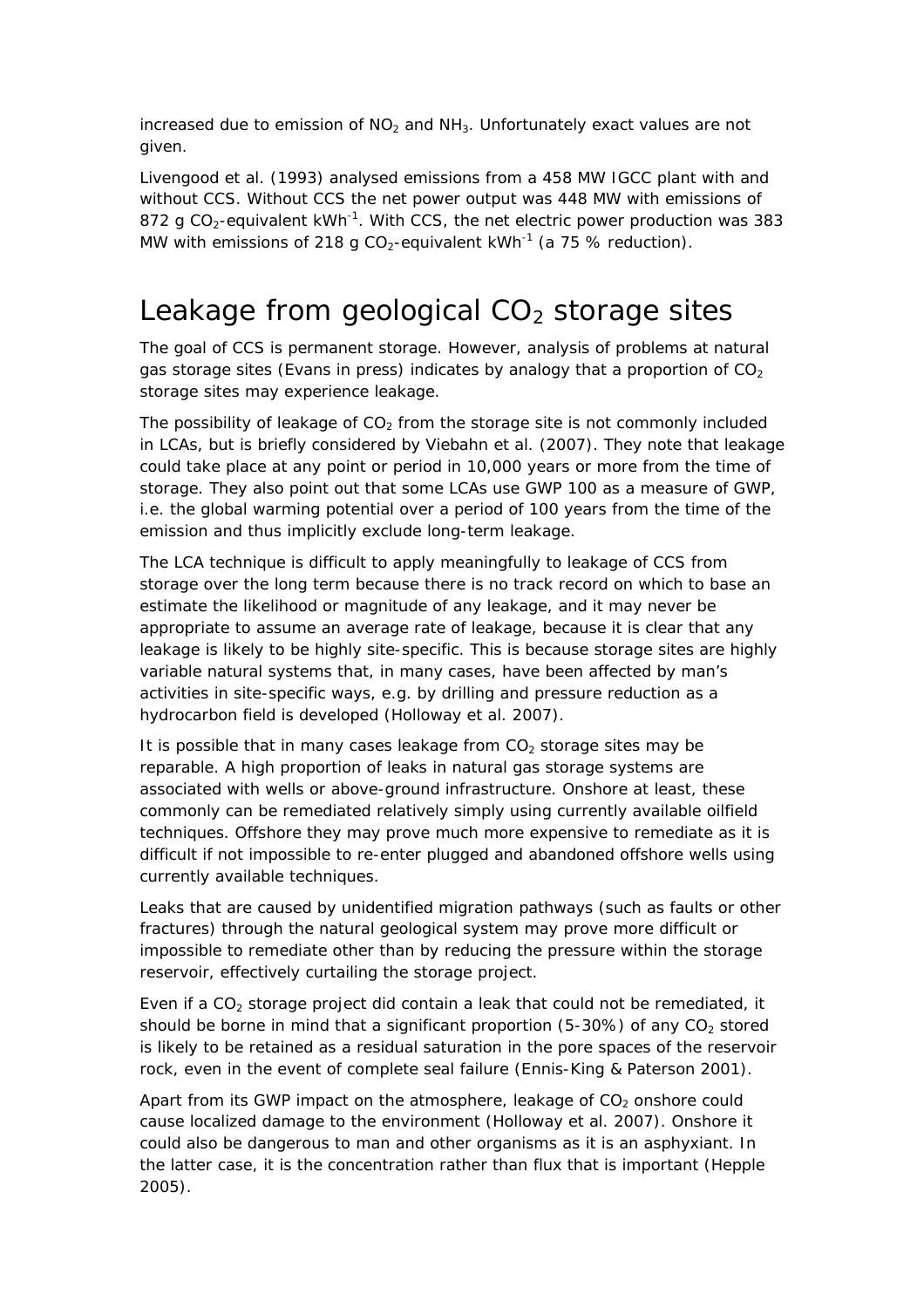increased due to emission of  $NO<sub>2</sub>$  and  $NH<sub>3</sub>$ . Unfortunately exact values are not given.

Livengood et al. (1993) analysed emissions from a 458 MW IGCC plant with and without CCS. Without CCS the net power output was 448 MW with emissions of 872 g CO<sub>2</sub>-equivalent kWh<sup>-1</sup>. With CCS, the net electric power production was 383 MW with emissions of 218 g CO<sub>2</sub>-equivalent kWh<sup>-1</sup> (a 75 % reduction).

### Leakage from geological  $CO<sub>2</sub>$  storage sites

The goal of CCS is permanent storage. However, analysis of problems at natural gas storage sites (Evans *in press*) indicates by analogy that a proportion of  $CO<sub>2</sub>$ storage sites may experience leakage.

The possibility of leakage of  $CO<sub>2</sub>$  from the storage site is not commonly included in LCAs, but is briefly considered by Viebahn et al. (2007). They note that leakage could take place at any point or period in 10,000 years or more from the time of storage. They also point out that some LCAs use GWP 100 as a measure of GWP, i.e. the global warming potential over a period of 100 years from the time of the emission and thus implicitly exclude long-term leakage.

The LCA technique is difficult to apply meaningfully to leakage of CCS from storage over the long term because there is no track record on which to base an estimate the likelihood or magnitude of any leakage, and it may never be appropriate to assume an average rate of leakage, because it is clear that any leakage is likely to be highly site-specific. This is because storage sites are highly variable natural systems that, in many cases, have been affected by man's activities in site-specific ways, e.g. by drilling and pressure reduction as a hydrocarbon field is developed (Holloway et al. 2007).

It is possible that in many cases leakage from  $CO<sub>2</sub>$  storage sites may be reparable. A high proportion of leaks in natural gas storage systems are associated with wells or above-ground infrastructure. Onshore at least, these commonly can be remediated relatively simply using currently available oilfield techniques. Offshore they may prove much more expensive to remediate as it is difficult if not impossible to re-enter plugged and abandoned offshore wells using currently available techniques.

Leaks that are caused by unidentified migration pathways (such as faults or other fractures) through the natural geological system may prove more difficult or impossible to remediate other than by reducing the pressure within the storage reservoir, effectively curtailing the storage project.

Even if a  $CO<sub>2</sub>$  storage project did contain a leak that could not be remediated, it should be borne in mind that a significant proportion (5-30%) of any  $CO<sub>2</sub>$  stored is likely to be retained as a residual saturation in the pore spaces of the reservoir rock, even in the event of complete seal failure (Ennis-King & Paterson 2001).

Apart from its GWP impact on the atmosphere, leakage of  $CO<sub>2</sub>$  onshore could cause localized damage to the environment (Holloway et al. 2007). Onshore it could also be dangerous to man and other organisms as it is an asphyxiant. In the latter case, it is the concentration rather than flux that is important (Hepple 2005).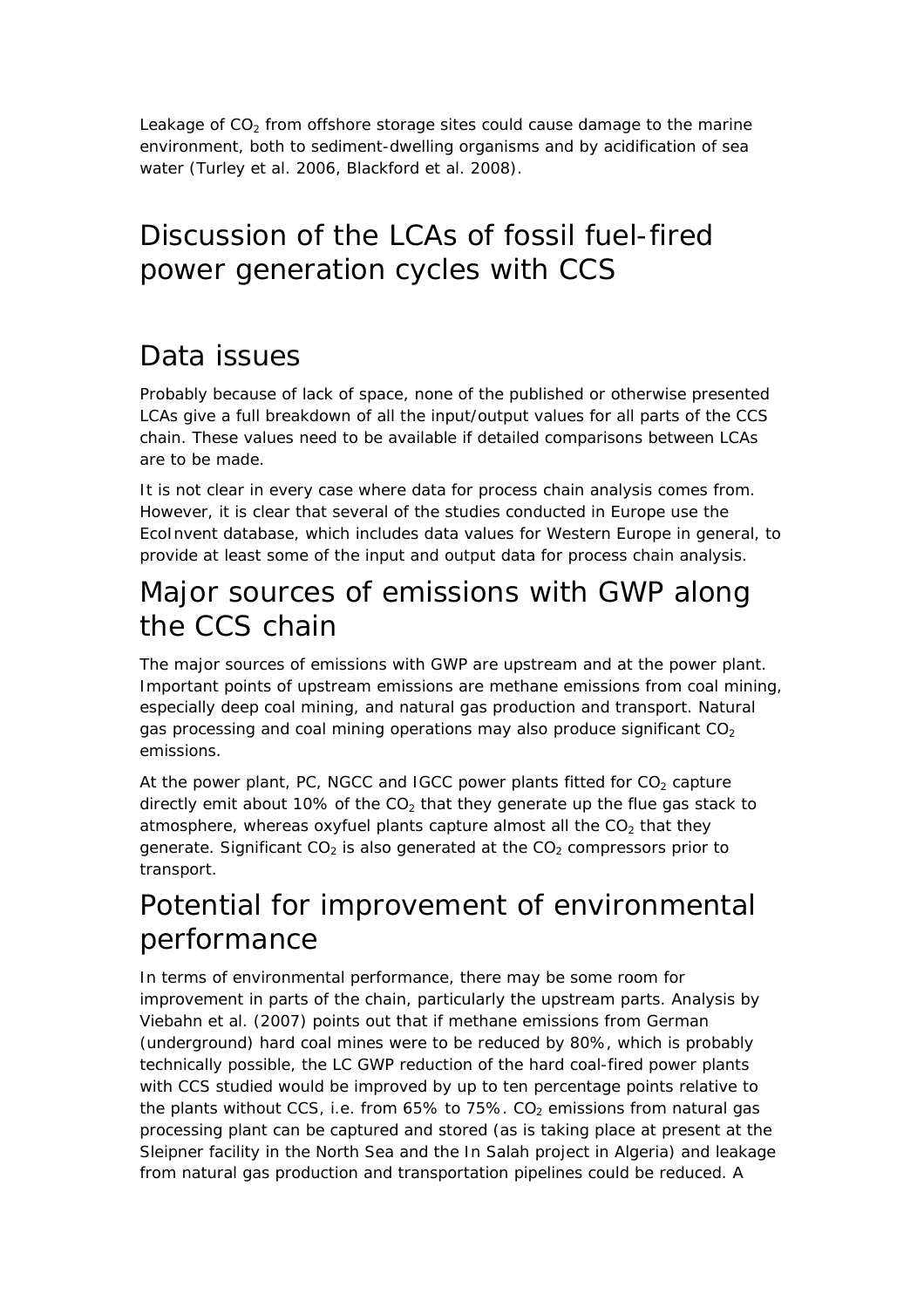Leakage of  $CO<sub>2</sub>$  from offshore storage sites could cause damage to the marine environment, both to sediment-dwelling organisms and by acidification of sea water (Turley et al. 2006, Blackford et al. 2008).

### Discussion of the LCAs of fossil fuel-fired power generation cycles with CCS

### Data issues

Probably because of lack of space, none of the published or otherwise presented LCAs give a full breakdown of all the input/output values for all parts of the CCS chain. These values need to be available if detailed comparisons between LCAs are to be made.

It is not clear in every case where data for process chain analysis comes from. However, it is clear that several of the studies conducted in Europe use the EcoInvent database, which includes data values for Western Europe in general, to provide at least some of the input and output data for process chain analysis.

### Major sources of emissions with GWP along the CCS chain

The major sources of emissions with GWP are upstream and at the power plant. Important points of upstream emissions are methane emissions from coal mining, especially deep coal mining, and natural gas production and transport. Natural gas processing and coal mining operations may also produce significant  $CO<sub>2</sub>$ emissions.

At the power plant, PC, NGCC and IGCC power plants fitted for  $CO<sub>2</sub>$  capture directly emit about 10% of the  $CO<sub>2</sub>$  that they generate up the flue gas stack to atmosphere, whereas oxyfuel plants capture almost all the  $CO<sub>2</sub>$  that they generate. Significant  $CO<sub>2</sub>$  is also generated at the  $CO<sub>2</sub>$  compressors prior to transport.

### Potential for improvement of environmental performance

In terms of environmental performance, there may be some room for improvement in parts of the chain, particularly the upstream parts. Analysis by Viebahn et al. (2007) points out that if methane emissions from German (underground) hard coal mines were to be reduced by 80%, which is probably technically possible, the LC GWP reduction of the hard coal-fired power plants with CCS studied would be improved by up to ten percentage points relative to the plants without CCS, i.e. from 65% to 75%. CO<sub>2</sub> emissions from natural gas processing plant can be captured and stored (as is taking place at present at the Sleipner facility in the North Sea and the In Salah project in Algeria) and leakage from natural gas production and transportation pipelines could be reduced. A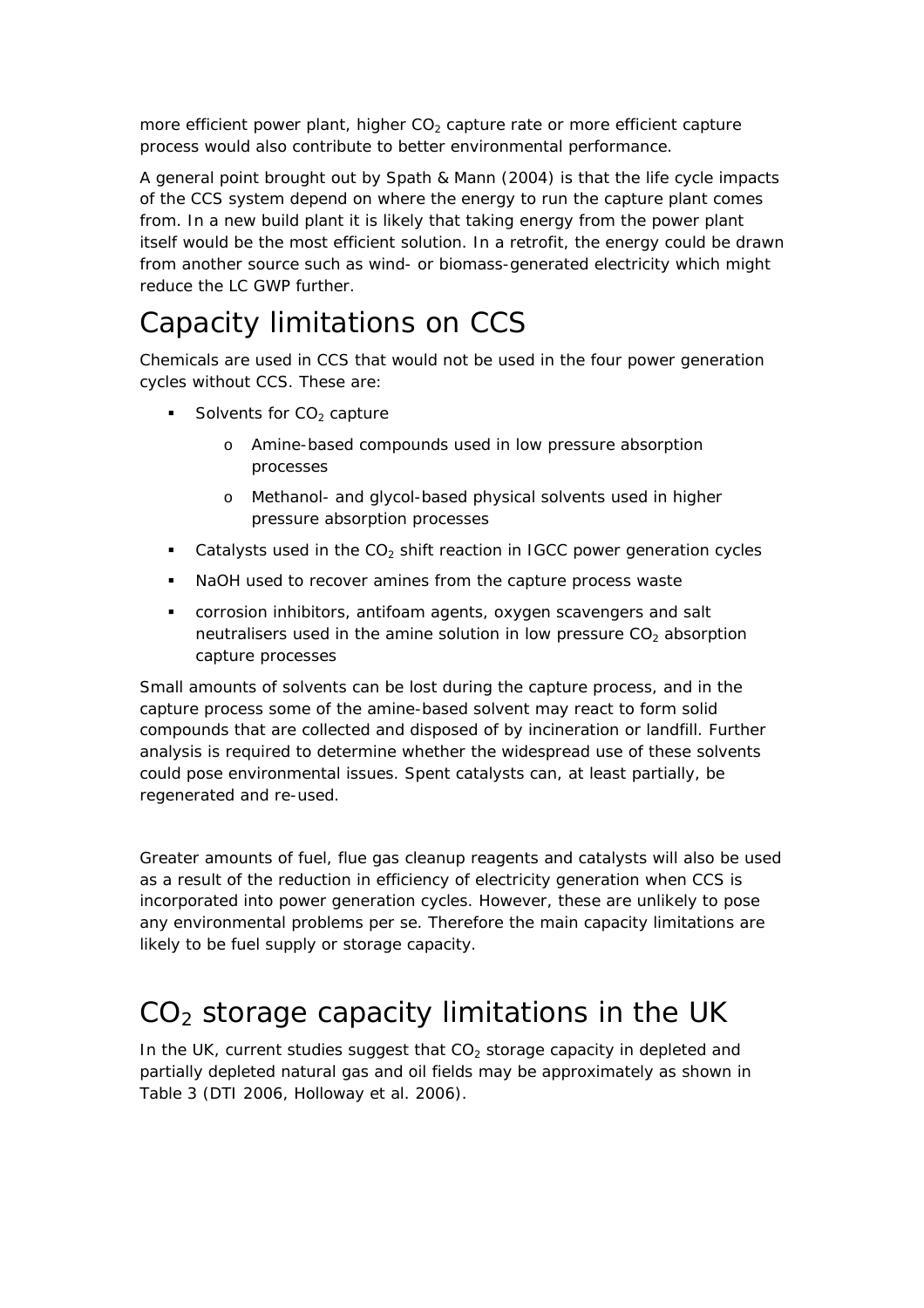more efficient power plant, higher  $CO<sub>2</sub>$  capture rate or more efficient capture process would also contribute to better environmental performance.

A general point brought out by Spath & Mann (2004) is that the life cycle impacts of the CCS system depend on where the energy to run the capture plant comes from. In a new build plant it is likely that taking energy from the power plant itself would be the most efficient solution. In a retrofit, the energy could be drawn from another source such as wind- or biomass-generated electricity which might reduce the LC GWP further.

### Capacity limitations on CCS

Chemicals are used in CCS that would not be used in the four power generation cycles without CCS. These are:

- Solvents for  $CO<sub>2</sub>$  capture
	- o Amine-based compounds used in low pressure absorption processes
	- o Methanol- and glycol-based physical solvents used in higher pressure absorption processes
- Catalysts used in the  $CO<sub>2</sub>$  shift reaction in IGCC power generation cycles
- NaOH used to recover amines from the capture process waste
- corrosion inhibitors, antifoam agents, oxygen scavengers and salt neutralisers used in the amine solution in low pressure  $CO<sub>2</sub>$  absorption capture processes

Small amounts of solvents can be lost during the capture process, and in the capture process some of the amine-based solvent may react to form solid compounds that are collected and disposed of by incineration or landfill. Further analysis is required to determine whether the widespread use of these solvents could pose environmental issues. Spent catalysts can, at least partially, be regenerated and re-used.

Greater amounts of fuel, flue gas cleanup reagents and catalysts will also be used as a result of the reduction in efficiency of electricity generation when CCS is incorporated into power generation cycles. However, these are unlikely to pose any environmental problems *per se*. Therefore the main capacity limitations are likely to be fuel supply or storage capacity.

### $CO<sub>2</sub>$  storage capacity limitations in the UK

In the UK, current studies suggest that  $CO<sub>2</sub>$  storage capacity in depleted and partially depleted natural gas and oil fields may be approximately as shown in Table 3 (DTI 2006, Holloway et al. 2006).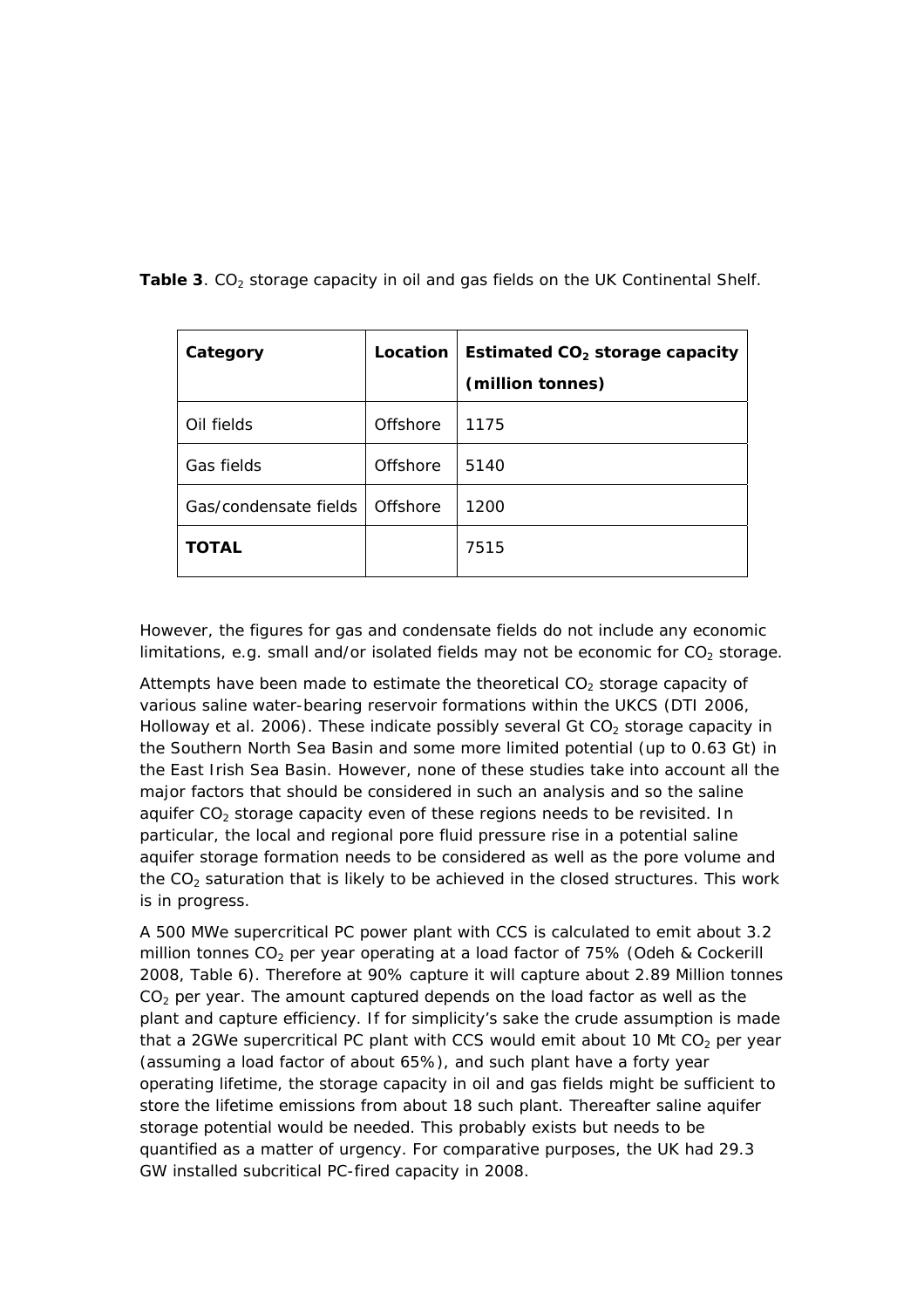| Category              | Location | Estimated $CO2$ storage capacity |
|-----------------------|----------|----------------------------------|
|                       |          | (million tonnes)                 |
| Oil fields            | Offshore | 1175                             |
| Gas fields            | Offshore | 5140                             |
| Gas/condensate fields | Offshore | 1200                             |
| <b>TOTAL</b>          |          | 7515                             |

Table 3. CO<sub>2</sub> storage capacity in oil and gas fields on the UK Continental Shelf.

However, the figures for gas and condensate fields do not include any economic limitations, e.g. small and/or isolated fields may not be economic for  $CO<sub>2</sub>$  storage.

Attempts have been made to estimate the theoretical  $CO<sub>2</sub>$  storage capacity of various saline water-bearing reservoir formations within the UKCS (DTI 2006, Holloway et al. 2006). These indicate possibly several Gt  $CO<sub>2</sub>$  storage capacity in the Southern North Sea Basin and some more limited potential (up to 0.63 Gt) in the East Irish Sea Basin. However, none of these studies take into account all the major factors that should be considered in such an analysis and so the saline aquifer  $CO<sub>2</sub>$  storage capacity even of these regions needs to be revisited. In particular, the local and regional pore fluid pressure rise in a potential saline aquifer storage formation needs to be considered as well as the pore volume and the  $CO<sub>2</sub>$  saturation that is likely to be achieved in the closed structures. This work is in progress.

A 500 MWe supercritical PC power plant with CCS is calculated to emit about 3.2 million tonnes  $CO<sub>2</sub>$  per year operating at a load factor of 75% (Odeh & Cockerill 2008, Table 6). Therefore at 90% capture it will capture about 2.89 Million tonnes  $CO<sub>2</sub>$  per year. The amount captured depends on the load factor as well as the plant and capture efficiency. If for simplicity's sake the crude assumption is made that a 2GWe supercritical PC plant with CCS would emit about 10 Mt  $CO<sub>2</sub>$  per year (assuming a load factor of about 65%), and such plant have a forty year operating lifetime, the storage capacity in oil and gas fields might be sufficient to store the lifetime emissions from about 18 such plant. Thereafter saline aquifer storage potential would be needed. This probably exists but needs to be quantified as a matter of urgency. For comparative purposes, the UK had 29.3 GW installed subcritical PC-fired capacity in 2008.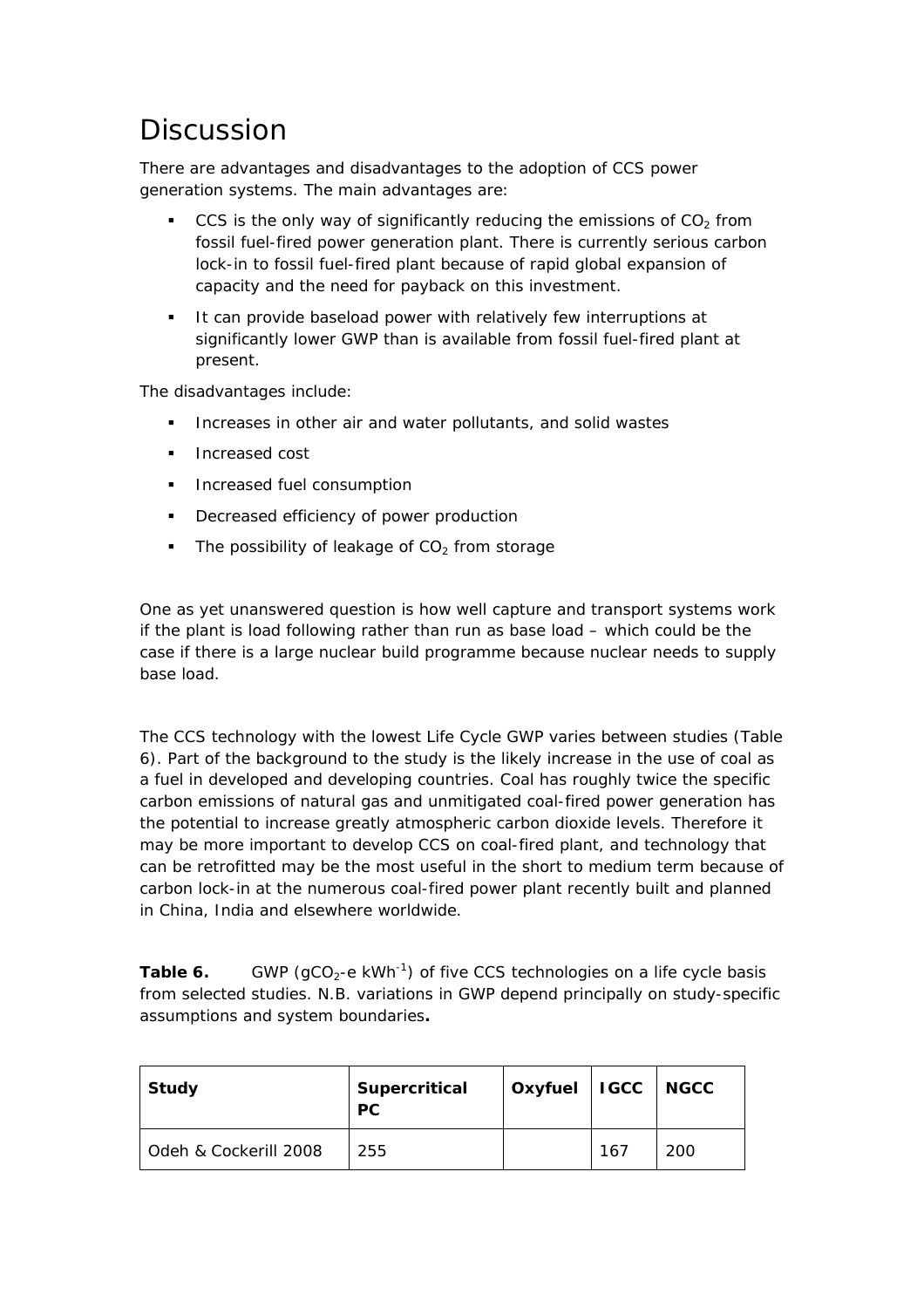### **Discussion**

There are advantages and disadvantages to the adoption of CCS power generation systems. The main advantages are:

- CCS is the only way of significantly reducing the emissions of  $CO<sub>2</sub>$  from fossil fuel-fired power generation plant. There is currently serious carbon lock-in to fossil fuel-fired plant because of rapid global expansion of capacity and the need for payback on this investment.
- It can provide baseload power with relatively few interruptions at significantly lower GWP than is available from fossil fuel-fired plant at present.

The disadvantages include:

- Increases in other air and water pollutants, and solid wastes
- Increased cost
- Increased fuel consumption
- **•** Decreased efficiency of power production
- The possibility of leakage of  $CO<sub>2</sub>$  from storage

One as yet unanswered question is how well capture and transport systems work if the plant is load following rather than run as base load – which could be the case if there is a large nuclear build programme because nuclear needs to supply base load.

The CCS technology with the lowest Life Cycle GWP varies between studies (Table 6). Part of the background to the study is the likely increase in the use of coal as a fuel in developed and developing countries. Coal has roughly twice the specific carbon emissions of natural gas and unmitigated coal-fired power generation has the potential to increase greatly atmospheric carbon dioxide levels. Therefore it may be more important to develop CCS on coal-fired plant, and technology that can be retrofitted may be the most useful in the short to medium term because of carbon lock-in at the numerous coal-fired power plant recently built and planned in China, India and elsewhere worldwide.

**Table 6.** GWP (gCO<sub>2</sub>-e kWh<sup>-1</sup>) of five CCS technologies on a life cycle basis from selected studies. N.B. variations in GWP depend principally on study-specific assumptions and system boundaries**.** 

| Study                 | Supercritical<br><b>PC</b> | Oxyfuel   IGCC   NGCC |     |     |
|-----------------------|----------------------------|-----------------------|-----|-----|
| Odeh & Cockerill 2008 | 255                        |                       | 167 | 200 |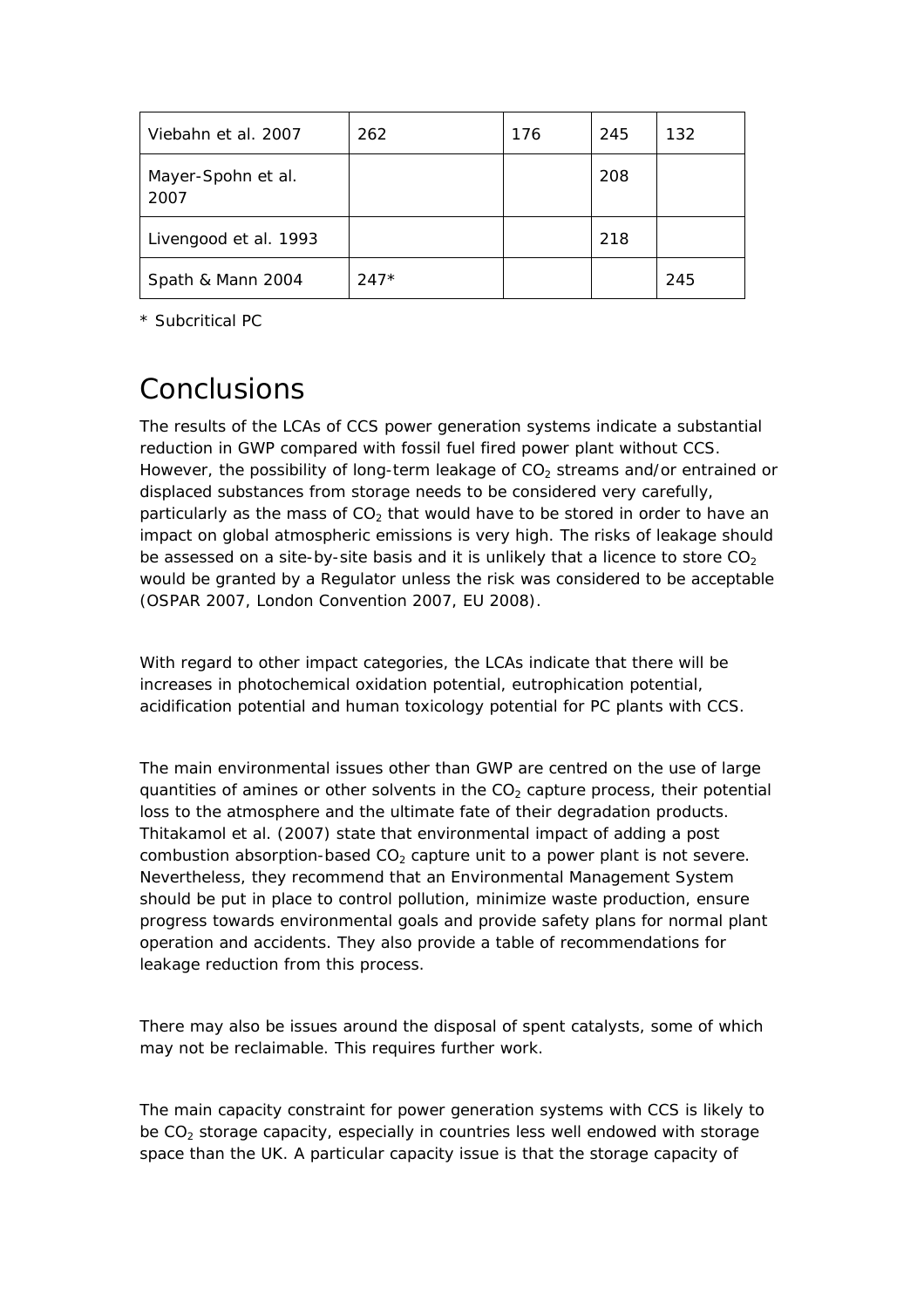| Viebahn et al. 2007        | 262    | 176 | 245 | 132 |
|----------------------------|--------|-----|-----|-----|
| Mayer-Spohn et al.<br>2007 |        |     | 208 |     |
| Livengood et al. 1993      |        |     | 218 |     |
| Spath & Mann 2004          | $247*$ |     |     | 245 |

\* Subcritical PC

### **Conclusions**

The results of the LCAs of CCS power generation systems indicate a substantial reduction in GWP compared with fossil fuel fired power plant without CCS. However, the possibility of long-term leakage of  $CO<sub>2</sub>$  streams and/or entrained or displaced substances from storage needs to be considered very carefully, particularly as the mass of  $CO<sub>2</sub>$  that would have to be stored in order to have an impact on global atmospheric emissions is very high. The risks of leakage should be assessed on a site-by-site basis and it is unlikely that a licence to store  $CO<sub>2</sub>$ would be granted by a Regulator unless the risk was considered to be acceptable (OSPAR 2007, London Convention 2007, EU 2008).

With regard to other impact categories, the LCAs indicate that there will be increases in photochemical oxidation potential, eutrophication potential, acidification potential and human toxicology potential for PC plants with CCS.

The main environmental issues other than GWP are centred on the use of large quantities of amines or other solvents in the  $CO<sub>2</sub>$  capture process, their potential loss to the atmosphere and the ultimate fate of their degradation products. Thitakamol et al. (2007) state that environmental impact of adding a post combustion absorption-based  $CO<sub>2</sub>$  capture unit to a power plant is not severe. Nevertheless, they recommend that an Environmental Management System should be put in place to control pollution, minimize waste production, ensure progress towards environmental goals and provide safety plans for normal plant operation and accidents. They also provide a table of recommendations for leakage reduction from this process.

There may also be issues around the disposal of spent catalysts, some of which may not be reclaimable. This requires further work.

The main capacity constraint for power generation systems with CCS is likely to be  $CO<sub>2</sub>$  storage capacity, especially in countries less well endowed with storage space than the UK. A particular capacity issue is that the storage capacity of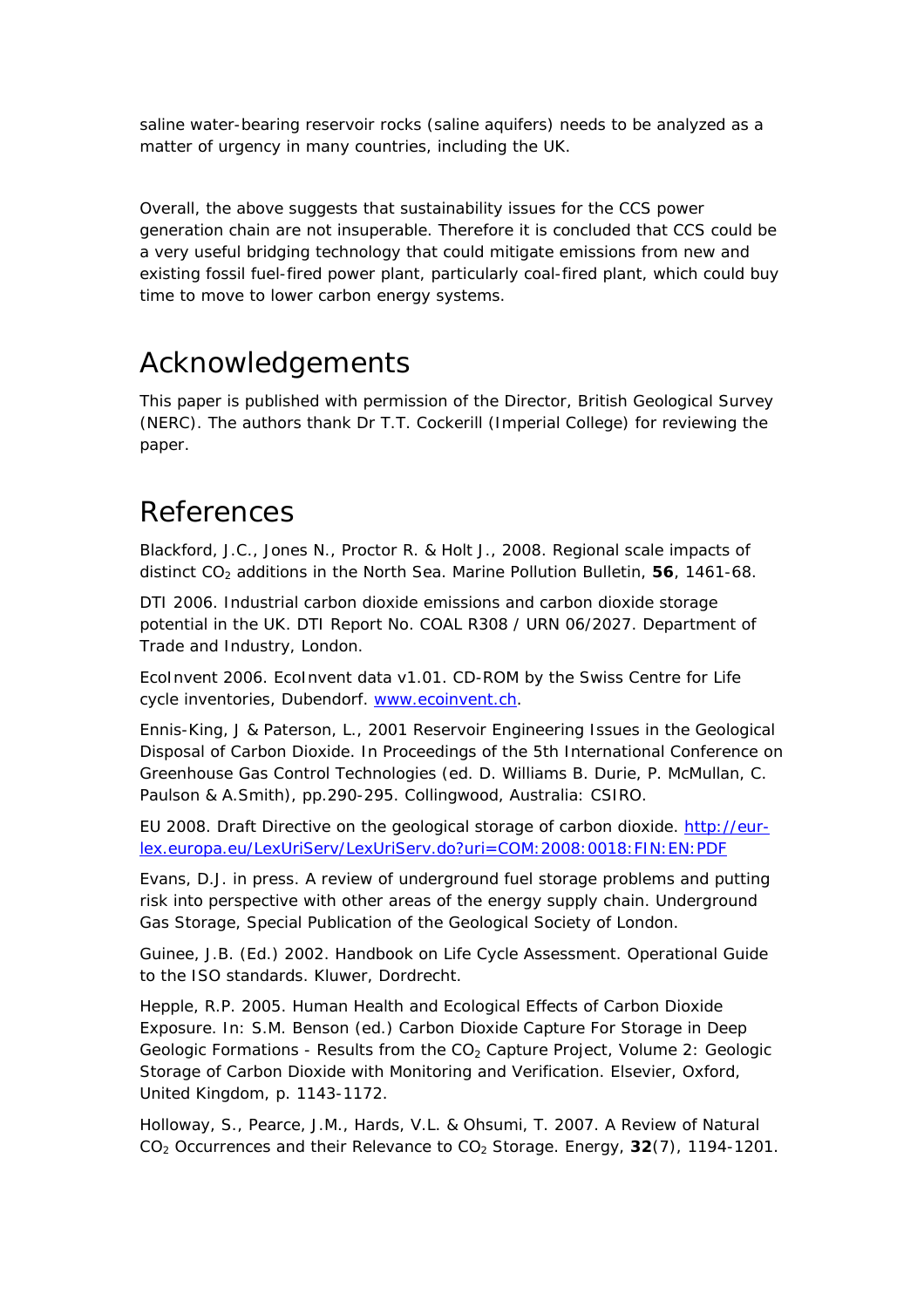saline water-bearing reservoir rocks (saline aquifers) needs to be analyzed as a matter of urgency in many countries, including the UK.

Overall, the above suggests that sustainability issues for the CCS power generation chain are not insuperable. Therefore it is concluded that CCS could be a very useful bridging technology that could mitigate emissions from new and existing fossil fuel-fired power plant, particularly coal-fired plant, which could buy time to move to lower carbon energy systems.

### Acknowledgements

This paper is published with permission of the Director, British Geological Survey (NERC). The authors thank Dr T.T. Cockerill (Imperial College) for reviewing the paper.

### References

Blackford, J.C., Jones N., Proctor R. & Holt J., 2008. Regional scale impacts of distinct CO<sub>2</sub> additions in the North Sea. *Marine Pollution Bulletin*, **56**, 1461-68.

DTI 2006. *Industrial carbon dioxide emissions and carbon dioxide storage potential in the UK.* DTI Report No. COAL R308 / URN 06/2027. Department of Trade and Industry, London.

EcoInvent 2006. EcoInvent data v1.01. CD-ROM by the Swiss Centre for Life cycle inventories, Dubendorf. [www.ecoinvent.ch.](http://www.ecoinvent.ch/)

Ennis-King, J & Paterson, L., 2001 Reservoir Engineering Issues in the Geological Disposal of Carbon Dioxide. In *Proceedings of the 5th International Conference on Greenhouse Gas Control Technologies* (ed. D. Williams B. Durie, P. McMullan, C. Paulson & A.Smith), pp.290-295. Collingwood, Australia: CSIRO.

EU 2008. Draft Directive on the geological storage of carbon dioxide. [http://eur](http://eur-lex.europa.eu/LexUriServ/LexUriServ.do?uri=COM:2008:0018:FIN:EN:PDF)[lex.europa.eu/LexUriServ/LexUriServ.do?uri=COM:2008:0018:FIN:EN:PDF](http://eur-lex.europa.eu/LexUriServ/LexUriServ.do?uri=COM:2008:0018:FIN:EN:PDF)

Evans, D.J. in press. A review of underground fuel storage problems and putting risk into perspective with other areas of the energy supply chain. *Underground Gas Storage,* Special Publication of the Geological Society of London.

Guinee, J.B. (Ed.) 2002. *Handbook on Life Cycle Assessment. Operational Guide to the ISO standards.* Kluwer, Dordrecht.

Hepple, R.P. 2005. Human Health and Ecological Effects of Carbon Dioxide Exposure. In: S.M. Benson (ed.) *Carbon Dioxide Capture For Storage in Deep Geologic Formations - Results from the CO<sub>2</sub> Capture Project, Volume 2: Geologic* Storage of Carbon Dioxide with Monitoring and Verification. Elsevier, Oxford, United Kingdom, p. 1143-1172.

Holloway, S., Pearce, J.M., Hards, V.L. & Ohsumi, T. 2007. A Review of Natural CO2 Occurrences and their Relevance to CO2 Storage. *Energy, 32(7), 1194-1201.*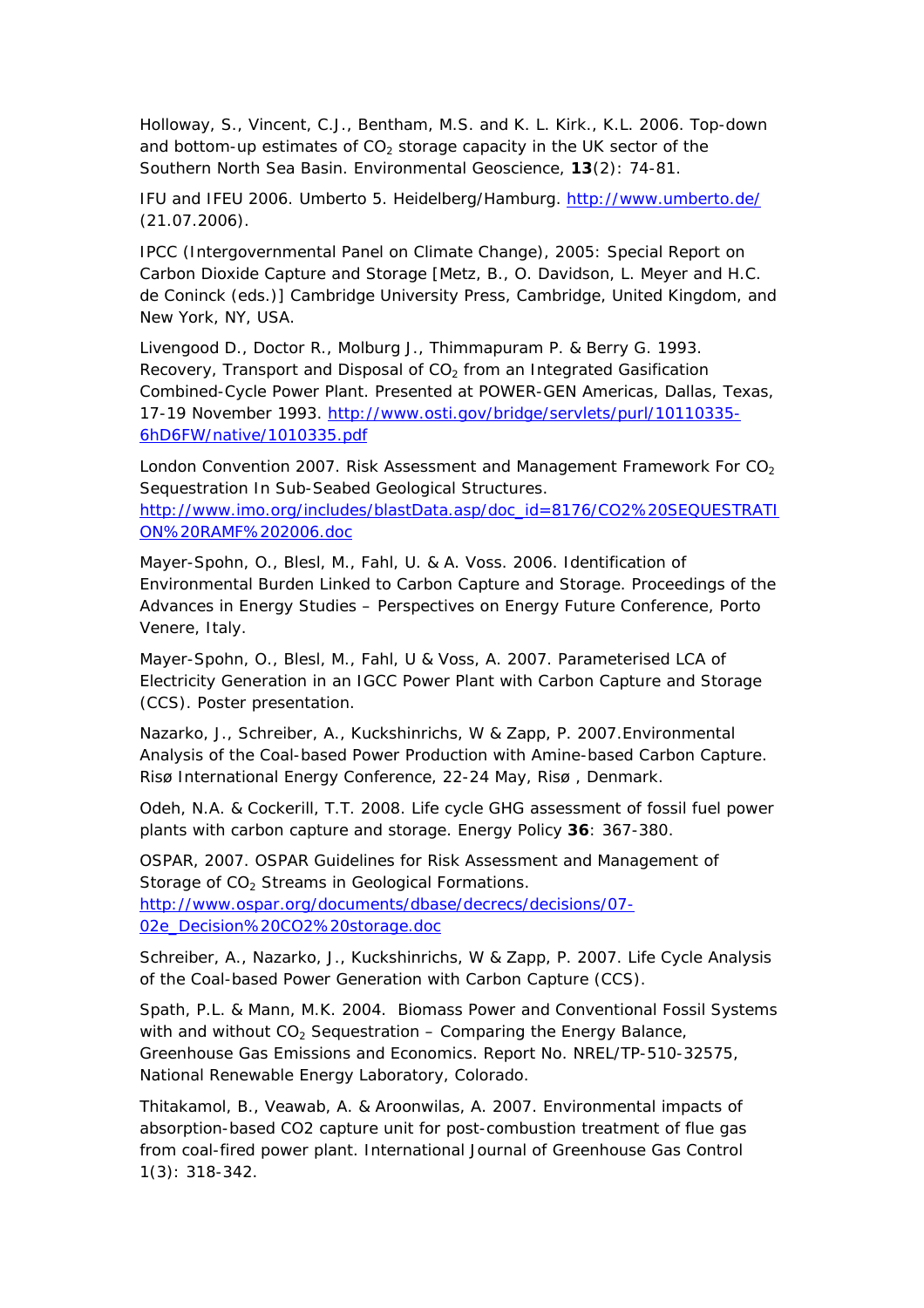Holloway, S., Vincent, C.J., Bentham, M.S. and K. L. Kirk., K.L. 2006. Top-down and bottom-up estimates of  $CO<sub>2</sub>$  storage capacity in the UK sector of the Southern North Sea Basin. *Environmental Geoscience,* **13**(2): 74-81.

IFU and IFEU 2006. Umberto 5. Heidelberg/Hamburg.<http://www.umberto.de/> (21.07.2006).

IPCC (Intergovernmental Panel on Climate Change), 2005: *Special Report on Carbon Dioxide Capture and Storage* [Metz, B., O. Davidson, L. Meyer and H.C. de Coninck (eds.)] Cambridge University Press, Cambridge, United Kingdom, and New York, NY, USA.

Livengood D., Doctor R., Molburg J., Thimmapuram P. & Berry G. 1993. Recovery, Transport and Disposal of  $CO<sub>2</sub>$  from an Integrated Gasification Combined-Cycle Power Plant. Presented at POWER-GEN Americas, Dallas, Texas, 17-19 November 1993. [http://www.osti.gov/bridge/servlets/purl/10110335-](http://www.osti.gov/bridge/servlets/purl/10110335-6hD6FW/native/1010335.pdf) [6hD6FW/native/1010335.pdf](http://www.osti.gov/bridge/servlets/purl/10110335-6hD6FW/native/1010335.pdf)

London Convention 2007. Risk Assessment and Management Framework For  $CO<sub>2</sub>$ Sequestration In Sub-Seabed Geological Structures. [http://www.imo.org/includes/blastData.asp/doc\\_id=8176/CO2%20SEQUESTRATI](http://www.imo.org/includes/blastData.asp/doc_id=8176/CO2%20SEQUESTRATION%20RAMF%202006.doc) [ON%20RAMF%202006.doc](http://www.imo.org/includes/blastData.asp/doc_id=8176/CO2%20SEQUESTRATION%20RAMF%202006.doc)

Mayer-Spohn, O., Blesl, M., Fahl, U. & A. Voss. 2006. *Identification of Environmental Burden Linked to Carbon Capture and Storage.* Proceedings of the Advances in Energy Studies – Perspectives on Energy Future Conference, Porto Venere, Italy.

Mayer-Spohn, O., Blesl, M., Fahl, U & Voss, A. 2007. Parameterised LCA of Electricity Generation in an IGCC Power Plant with Carbon Capture and Storage (CCS). Poster presentation.

Nazarko, J., Schreiber, A., Kuckshinrichs, W & Zapp, P. 2007.Environmental Analysis of the Coal-based Power Production with Amine-based Carbon Capture. *Risø International Energy Conference,* 22-24 May, Risø , Denmark.

Odeh, N.A. & Cockerill, T.T. 2008. Life cycle GHG assessment of fossil fuel power plants with carbon capture and storage. *Energy Policy* **36**: 367-380.

OSPAR, 2007. OSPAR Guidelines for Risk Assessment and Management of Storage of  $CO<sub>2</sub>$  Streams in Geological Formations. [http://www.ospar.org/documents/dbase/decrecs/decisions/07-](http://www.ospar.org/documents/dbase/decrecs/decisions/07-02e_Decision%20CO2%20storage.doc) [02e\\_Decision%20CO2%20storage.doc](http://www.ospar.org/documents/dbase/decrecs/decisions/07-02e_Decision%20CO2%20storage.doc)

Schreiber, A., Nazarko, J., Kuckshinrichs, W & Zapp, P. 2007. Life Cycle Analysis of the Coal-based Power Generation with Carbon Capture (CCS).

Spath, P.L. & Mann, M.K. 2004. *Biomass Power and Conventional Fossil Systems*  with and without CO<sub>2</sub> Sequestration – Comparing the Energy Balance, *Greenhouse Gas Emissions and Economics.* Report No. NREL/TP-510-32575, National Renewable Energy Laboratory, Colorado.

Thitakamol, B., Veawab, A. & Aroonwilas, A. 2007. Environmental impacts of absorption-based CO2 capture unit for post-combustion treatment of flue gas from coal-fired power plant. International Journal of Greenhouse Gas Control 1(3): 318-342.